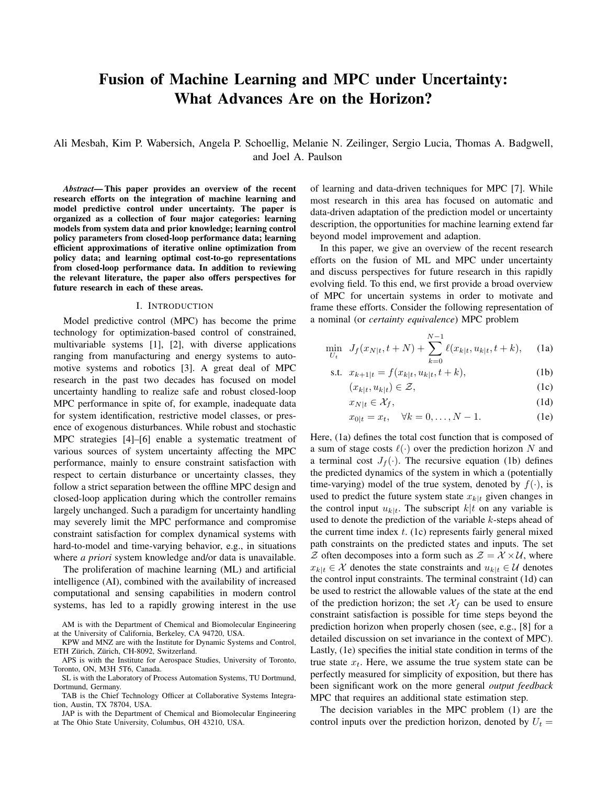# **Fusion of Machine Learning and MPC under Uncertainty:** What Advances Are on the Horizon?

Ali Mesbah, Kim P. Wabersich, Angela P. Schoellig, Melanie N. Zeilinger, Sergio Lucia, Thomas A. Badgwell, and Joel A. Paulson

Abstract—This paper provides an overview of the recent research efforts on the integration of machine learning and model predictive control under uncertainty. The paper is organized as a collection of four major categories: learning models from system data and prior knowledge; learning control policy parameters from closed-loop performance data; learning efficient approximations of iterative online optimization from policy data; and learning optimal cost-to-go representations from closed-loop performance data. In addition to reviewing the relevant literature, the paper also offers perspectives for future research in each of these areas.

#### I. INTRODUCTION

Model predictive control (MPC) has become the prime technology for optimization-based control of constrained, multivariable systems  $[1]$ ,  $[2]$ , with diverse applications ranging from manufacturing and energy systems to automotive systems and robotics [3]. A great deal of MPC research in the past two decades has focused on model uncertainty handling to realize safe and robust closed-loop MPC performance in spite of, for example, inadequate data for system identification, restrictive model classes, or presence of exogenous disturbances. While robust and stochastic MPC strategies [4]–[6] enable a systematic treatment of various sources of system uncertainty affecting the MPC performance, mainly to ensure constraint satisfaction with respect to certain disturbance or uncertainty classes, they follow a strict separation between the offline MPC design and closed-loop application during which the controller remains largely unchanged. Such a paradigm for uncertainty handling may severely limit the MPC performance and compromise constraint satisfaction for complex dynamical systems with hard-to-model and time-varying behavior, e.g., in situations where *a priori* system knowledge and/or data is unavailable.

The proliferation of machine learning (ML) and artificial intelligence (AI), combined with the availability of increased computational and sensing capabilities in modern control systems, has led to a rapidly growing interest in the use of learning and data-driven techniques for MPC [7]. While most research in this area has focused on automatic and data-driven adaptation of the prediction model or uncertainty description, the opportunities for machine learning extend far beyond model improvement and adaption.

In this paper, we give an overview of the recent research efforts on the fusion of ML and MPC under uncertainty and discuss perspectives for future research in this rapidly evolving field. To this end, we first provide a broad overview of MPC for uncertain systems in order to motivate and frame these efforts. Consider the following representation of a nominal (or *certainty equivalence*) MPC problem

$$
\min_{U_t} \ J_f(x_{N|t}, t+N) + \sum_{k=0}^{N-1} \ell(x_{k|t}, u_{k|t}, t+k), \quad \text{(1a)}
$$

s.t. 
$$
x_{k+1|t} = f(x_{k|t}, u_{k|t}, t+k)
$$
, (1b)

$$
(x_{k|t}, u_{k|t}) \in \mathcal{Z},\tag{1c}
$$

$$
x_{N|t} \in \mathcal{X}_f,\tag{1d}
$$

$$
x_{0|t} = x_t, \quad \forall k = 0, \dots, N - 1.
$$
 (1e)

Here, (1a) defines the total cost function that is composed of a sum of stage costs  $\ell(\cdot)$  over the prediction horizon N and a terminal cost  $J_f(\cdot)$ . The recursive equation (1b) defines the predicted dynamics of the system in which a (potentially time-varying) model of the true system, denoted by  $f(\cdot)$ , is used to predict the future system state  $x_{k|t}$  given changes in the control input  $u_{k|t}$ . The subscript  $k|t$  on any variable is used to denote the prediction of the variable  $k$ -steps ahead of the current time index  $t$ . (1c) represents fairly general mixed path constraints on the predicted states and inputs. The set  $\mathcal Z$  often decomposes into a form such as  $\mathcal Z = \mathcal X \times \mathcal U$ , where  $x_{k|t} \in \mathcal{X}$  denotes the state constraints and  $u_{k|t} \in \mathcal{U}$  denotes the control input constraints. The terminal constraint (1d) can be used to restrict the allowable values of the state at the end of the prediction horizon; the set  $\mathcal{X}_f$  can be used to ensure constraint satisfaction is possible for time steps beyond the prediction horizon when properly chosen (see, e.g., [8] for a detailed discussion on set invariance in the context of MPC). Lastly, (1e) specifies the initial state condition in terms of the true state  $x_t$ . Here, we assume the true system state can be perfectly measured for simplicity of exposition, but there has been significant work on the more general *output feedback* MPC that requires an additional state estimation step.

The decision variables in the MPC problem (1) are the control inputs over the prediction horizon, denoted by  $U_t =$ 

AM is with the Department of Chemical and Biomolecular Engineering at the University of California, Berkeley, CA 94720, USA.

KPW and MNZ are with the Institute for Dynamic Systems and Control, ETH Zürich, Zürich, CH-8092, Switzerland.

APS is with the Institute for Aerospace Studies, University of Toronto, Toronto, ON, M3H 5T6, Canada.

SL is with the Laboratory of Process Automation Systems, TU Dortmund, Dortmund, Germany.

TAB is the Chief Technology Officer at Collaborative Systems Integration, Austin, TX 78704, USA.

JAP is with the Department of Chemical and Biomolecular Engineering at The Ohio State University, Columbus, OH 43210, USA.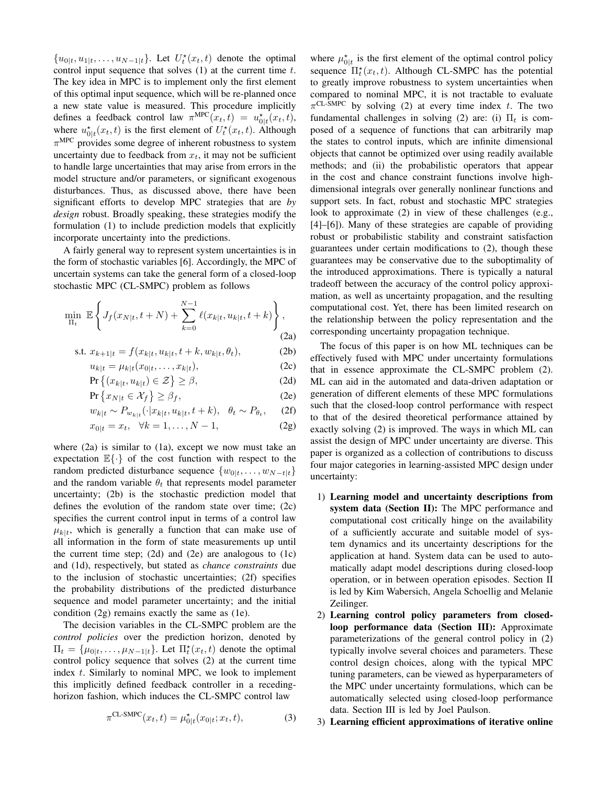$\{u_{0|t}, u_{1|t}, \ldots, u_{N-1|t}\}.$  Let  $U_t^*(x_t, t)$  denote the optimal control input sequence that solves  $(1)$  at the current time t. The key idea in MPC is to implement only the first element of this optimal input sequence, which will be re-planned once a new state value is measured. This procedure implicitly defines a feedback control law  $\pi^{\text{MPC}}(x_t, t) = u_{0|t}^{\star}(x_t, t)$ , where  $u_{0}^{\star}(x_t, t)$  is the first element of  $U_t^{\star}(x_t, t)$ . Although  $\pi^{\text{MPC}}$  provides some degree of inherent robustness to system uncertainty due to feedback from  $x_t$ , it may not be sufficient to handle large uncertainties that may arise from errors in the model structure and/or parameters, or significant exogenous disturbances. Thus, as discussed above, there have been significant efforts to develop MPC strategies that are by *design* robust. Broadly speaking, these strategies modify the formulation (1) to include prediction models that explicitly incorporate uncertainty into the predictions.

A fairly general way to represent system uncertainties is in the form of stochastic variables [6]. Accordingly, the MPC of uncertain systems can take the general form of a closed-loop stochastic MPC (CL-SMPC) problem as follows

$$
\min_{\Pi_t} \ \mathbb{E}\left\{J_f(x_{N|t}, t+N) + \sum_{k=0}^{N-1} \ell(x_{k|t}, u_{k|t}, t+k)\right\},\tag{2a}
$$

s.t. 
$$
x_{k+1|t} = f(x_{k|t}, u_{k|t}, t + k, w_{k|t}, \theta_t)
$$
, (2b)

$$
u_{k|t} = \mu_{k|t}(x_{0|t}, \dots, x_{k|t}),
$$
 (2c)

$$
\Pr\left\{(x_{k|t}, u_{k|t}) \in \mathcal{Z}\right\} \ge \beta,\tag{2d}
$$

$$
\Pr\left\{x_{N|t} \in \mathcal{X}_f\right\} \ge \beta_f,\tag{2e}
$$

$$
w_{k|t} \sim P_{w_{k|t}}(\cdot | x_{k|t}, u_{k|t}, t+k), \quad \theta_t \sim P_{\theta_t}, \quad (2f)
$$

$$
x_{0|t} = x_t, \ \ \forall k = 1, \dots, N - 1,\tag{2g}
$$

where  $(2a)$  is similar to  $(1a)$ , except we now must take an expectation  $\mathbb{E}\{\cdot\}$  of the cost function with respect to the random predicted disturbance sequence  $\{w_{0:t}, \ldots, w_{N-t|t}\}\$ and the random variable  $\theta_t$  that represents model parameter uncertainty; (2b) is the stochastic prediction model that defines the evolution of the random state over time;  $(2c)$ specifies the current control input in terms of a control law  $\mu_{k|t}$ , which is generally a function that can make use of all information in the form of state measurements up until the current time step;  $(2d)$  and  $(2e)$  are analogous to  $(1c)$ and (1d), respectively, but stated as *chance constraints* due to the inclusion of stochastic uncertainties; (2f) specifies the probability distributions of the predicted disturbance sequence and model parameter uncertainty; and the initial condition  $(2g)$  remains exactly the same as  $(1e)$ .

The decision variables in the CL-SMPC problem are the control policies over the prediction horizon, denoted by  $\Pi_t = {\mu_{0|t}, \ldots, \mu_{N-1|t}}$ . Let  $\Pi_t^*(x_t, t)$  denote the optimal control policy sequence that solves (2) at the current time index t. Similarly to nominal MPC, we look to implement this implicitly defined feedback controller in a recedinghorizon fashion, which induces the CL-SMPC control law

$$
\pi^{\text{CL-SMPC}}(x_t, t) = \mu_{0|t}^{\star}(x_{0|t}; x_t, t), \tag{3}
$$

where  $\mu_{0|t}^*$  is the first element of the optimal control policy sequence  $\Pi_t^*(x_t, t)$ . Although CL-SMPC has the potential to greatly improve robustness to system uncertainties when compared to nominal MPC, it is not tractable to evaluate  $\pi$ <sup>CL-SMPC</sup> by solving (2) at every time index t. The two fundamental challenges in solving (2) are: (i)  $\Pi_t$  is composed of a sequence of functions that can arbitrarily map the states to control inputs, which are infinite dimensional objects that cannot be optimized over using readily available methods; and (ii) the probabilistic operators that appear in the cost and chance constraint functions involve highdimensional integrals over generally nonlinear functions and support sets. In fact, robust and stochastic MPC strategies look to approximate (2) in view of these challenges (e.g.,  $[4]-[6]$ ). Many of these strategies are capable of providing robust or probabilistic stability and constraint satisfaction guarantees under certain modifications to (2), though these guarantees may be conservative due to the suboptimality of the introduced approximations. There is typically a natural tradeoff between the accuracy of the control policy approximation, as well as uncertainty propagation, and the resulting computational cost. Yet, there has been limited research on the relationship between the policy representation and the corresponding uncertainty propagation technique.

The focus of this paper is on how ML techniques can be effectively fused with MPC under uncertainty formulations that in essence approximate the CL-SMPC problem (2). ML can aid in the automated and data-driven adaptation or generation of different elements of these MPC formulations such that the closed-loop control performance with respect to that of the desired theoretical performance attained by exactly solving (2) is improved. The ways in which ML can assist the design of MPC under uncertainty are diverse. This paper is organized as a collection of contributions to discuss four major categories in learning-assisted MPC design under uncertainty:

- 1) Learning model and uncertainty descriptions from system data (Section II): The MPC performance and computational cost critically hinge on the availability of a sufficiently accurate and suitable model of system dynamics and its uncertainty descriptions for the application at hand. System data can be used to automatically adapt model descriptions during closed-loop operation, or in between operation episodes. Section II is led by Kim Wabersich, Angela Schoellig and Melanie Zeilinger.
- 2) Learning control policy parameters from closedloop performance data (Section III): Approximate parameterizations of the general control policy in (2) typically involve several choices and parameters. These control design choices, along with the typical MPC tuning parameters, can be viewed as hyperparameters of the MPC under uncertainty formulations, which can be automatically selected using closed-loop performance data. Section III is led by Joel Paulson.

3) Learning efficient approximations of iterative online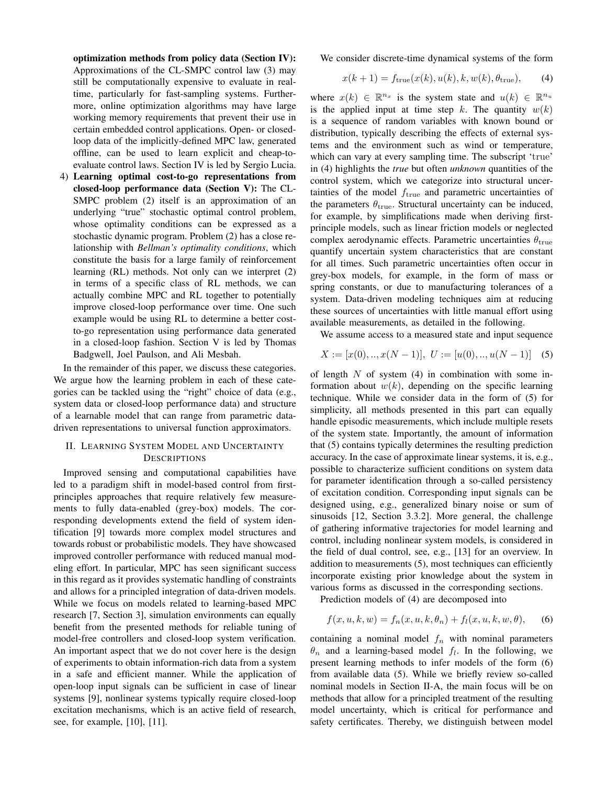optimization methods from policy data (Section IV): Approximations of the CL-SMPC control law (3) may still be computationally expensive to evaluate in realtime, particularly for fast-sampling systems. Furthermore, online optimization algorithms may have large working memory requirements that prevent their use in certain embedded control applications. Open- or closedloop data of the implicitly-defined MPC law, generated offline, can be used to learn explicit and cheap-toevaluate control laws. Section IV is led by Sergio Lucia.

4) Learning optimal cost-to-go representations from closed-loop performance data (Section V): The CL-SMPC problem (2) itself is an approximation of an underlying "true" stochastic optimal control problem, whose optimality conditions can be expressed as a stochastic dynamic program. Problem (2) has a close relationship with *Bellman's optimality conditions*, which constitute the basis for a large family of reinforcement learning (RL) methods. Not only can we interpret (2) in terms of a specific class of RL methods, we can actually combine MPC and RL together to potentially improve closed-loop performance over time. One such example would be using RL to determine a better costto-go representation using performance data generated in a closed-loop fashion. Section V is led by Thomas Badgwell, Joel Paulson, and Ali Mesbah.

In the remainder of this paper, we discuss these categories. We argue how the learning problem in each of these categories can be tackled using the "right" choice of data (e.g., system data or closed-loop performance data) and structure of a learnable model that can range from parametric datadriven representations to universal function approximators.

# II. LEARNING SYSTEM MODEL AND UNCERTAINTY **DESCRIPTIONS**

Improved sensing and computational capabilities have led to a paradigm shift in model-based control from firstprinciples approaches that require relatively few measurements to fully data-enabled (grey-box) models. The corresponding developments extend the field of system identification [9] towards more complex model structures and towards robust or probabilistic models. They have showcased improved controller performance with reduced manual modeling effort. In particular, MPC has seen significant success in this regard as it provides systematic handling of constraints and allows for a principled integration of data-driven models. While we focus on models related to learning-based MPC research [7, Section 3], simulation environments can equally benefit from the presented methods for reliable tuning of model-free controllers and closed-loop system verification. An important aspect that we do not cover here is the design of experiments to obtain information-rich data from a system in a safe and efficient manner. While the application of open-loop input signals can be sufficient in case of linear systems [9], nonlinear systems typically require closed-loop excitation mechanisms, which is an active field of research, see, for example, [10], [11].

We consider discrete-time dynamical systems of the form

$$
x(k+1) = f_{\text{true}}(x(k), u(k), k, w(k), \theta_{\text{true}}), \quad (4)
$$

where  $x(k) \in \mathbb{R}^{n_x}$  is the system state and  $u(k) \in \mathbb{R}^{n_u}$ is the applied input at time step k. The quantity  $w(k)$ is a sequence of random variables with known bound or distribution, typically describing the effects of external systems and the environment such as wind or temperature, which can vary at every sampling time. The subscript 'true' in (4) highlights the *true* but often *unknown* quantities of the control system, which we categorize into structural uncertainties of the model  $f_{true}$  and parametric uncertainties of the parameters  $\theta_{true}$ . Structural uncertainty can be induced, for example, by simplifications made when deriving firstprinciple models, such as linear friction models or neglected complex aerodynamic effects. Parametric uncertainties  $\theta_{\text{true}}$ quantify uncertain system characteristics that are constant for all times. Such parametric uncertainties often occur in grey-box models, for example, in the form of mass or spring constants, or due to manufacturing tolerances of a system. Data-driven modeling techniques aim at reducing these sources of uncertainties with little manual effort using available measurements, as detailed in the following.

We assume access to a measured state and input sequence

$$
X := [x(0), ..., x(N-1)], \ U := [u(0), ..., u(N-1)] \quad (5)
$$

of length  $N$  of system (4) in combination with some information about  $w(k)$ , depending on the specific learning technique. While we consider data in the form of (5) for simplicity, all methods presented in this part can equally handle episodic measurements, which include multiple resets of the system state. Importantly, the amount of information that (5) contains typically determines the resulting prediction accuracy. In the case of approximate linear systems, it is, e.g., possible to characterize sufficient conditions on system data for parameter identification through a so-called persistency of excitation condition. Corresponding input signals can be designed using, e.g., generalized binary noise or sum of sinusoids [12, Section 3.3.2]. More general, the challenge of gathering informative trajectories for model learning and control, including nonlinear system models, is considered in the field of dual control, see, e.g., [13] for an overview. In addition to measurements (5), most techniques can efficiently incorporate existing prior knowledge about the system in various forms as discussed in the corresponding sections.

Prediction models of (4) are decomposed into

$$
f(x, u, k, w) = f_n(x, u, k, \theta_n) + f_l(x, u, k, w, \theta),
$$
 (6)

containing a nominal model  $f_n$  with nominal parameters  $\theta_n$  and a learning-based model  $f_l$ . In the following, we present learning methods to infer models of the form (6) from available data (5). While we briefly review so-called nominal models in Section II-A, the main focus will be on methods that allow for a principled treatment of the resulting model uncertainty, which is critical for performance and safety certificates. Thereby, we distinguish between model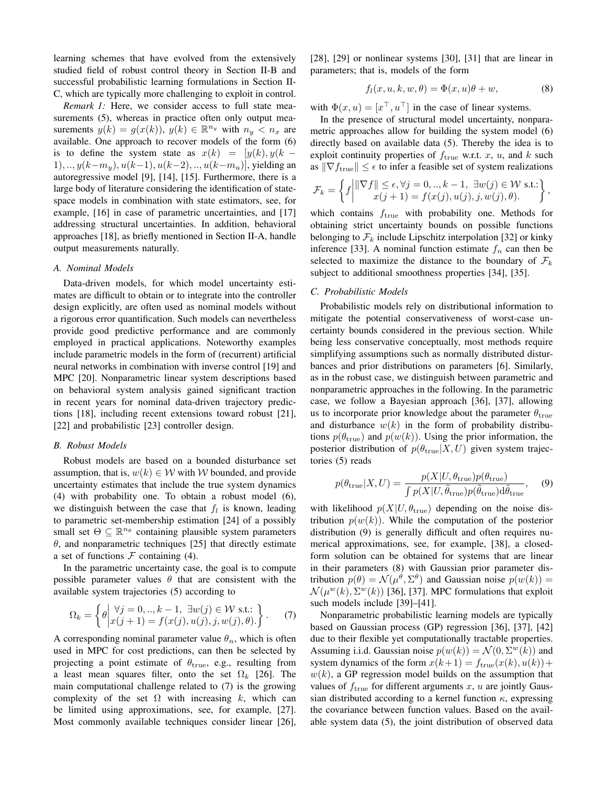learning schemes that have evolved from the extensively studied field of robust control theory in Section II-B and successful probabilistic learning formulations in Section II-C, which are typically more challenging to exploit in control.

Remark 1: Here, we consider access to full state measurements (5), whereas in practice often only output measurements  $y(k) = g(x(k))$ ,  $y(k) \in \mathbb{R}^{n_y}$  with  $n_y < n_x$  are available. One approach to recover models of the form (6) is to define the system state as  $x(k) = [y(k), y(k -$ 1,...,  $y(k-m_u)$ ,  $u(k-1)$ ,  $u(k-2)$ , ...,  $u(k-m_u)$ , yielding an autoregressive model [9], [14], [15]. Furthermore, there is a large body of literature considering the identification of statespace models in combination with state estimators, see, for example, [16] in case of parametric uncertainties, and [17] addressing structural uncertainties. In addition, behavioral approaches [18], as briefly mentioned in Section II-A, handle output measurements naturally.

#### A. Nominal Models

Data-driven models, for which model uncertainty estimates are difficult to obtain or to integrate into the controller design explicitly, are often used as nominal models without a rigorous error quantification. Such models can nevertheless provide good predictive performance and are commonly employed in practical applications. Noteworthy examples include parametric models in the form of (recurrent) artificial neural networks in combination with inverse control [19] and MPC [20]. Nonparametric linear system descriptions based on behavioral system analysis gained significant traction in recent years for nominal data-driven trajectory predictions [18], including recent extensions toward robust [21], [22] and probabilistic [23] controller design.

# **B.** Robust Models

Robust models are based on a bounded disturbance set assumption, that is,  $w(k) \in W$  with W bounded, and provide uncertainty estimates that include the true system dynamics (4) with probability one. To obtain a robust model (6), we distinguish between the case that  $f_l$  is known, leading to parametric set-membership estimation [24] of a possibly small set  $\Theta \subseteq \mathbb{R}^{n_{\theta}}$  containing plausible system parameters  $\theta$ , and nonparametric techniques [25] that directly estimate a set of functions  $F$  containing (4).

In the parametric uncertainty case, the goal is to compute possible parameter values  $\theta$  that are consistent with the available system trajectories (5) according to

$$
\Omega_k = \left\{ \theta \middle| \begin{aligned} \forall j = 0,.., k-1, \ \exists w(j) \in \mathcal{W} \text{ s.t.:} \\ x(j+1) = f(x(j), u(j), j, w(j), \theta). \end{aligned} \right\}.
$$
 (7)

A corresponding nominal parameter value  $\theta_n$ , which is often used in MPC for cost predictions, can then be selected by projecting a point estimate of  $\theta_{true}$ , e.g., resulting from a least mean squares filter, onto the set  $\Omega_k$  [26]. The main computational challenge related to  $(7)$  is the growing complexity of the set  $\Omega$  with increasing k, which can be limited using approximations, see, for example, [27]. Most commonly available techniques consider linear [26].

 $[28]$ ,  $[29]$  or nonlinear systems  $[30]$ ,  $[31]$  that are linear in parameters; that is, models of the form

$$
f_l(x, u, k, w, \theta) = \Phi(x, u)\theta + w,\tag{8}
$$

with  $\Phi(x, u) = [x^\top, u^\top]$  in the case of linear systems.

In the presence of structural model uncertainty, nonparametric approaches allow for building the system model (6) directly based on available data (5). Thereby the idea is to exploit continuity properties of  $f_{true}$  w.r.t.  $x$ ,  $u$ , and  $k$  such as  $\|\nabla f_{\text{true}}\| \leq \epsilon$  to infer a feasible set of system realizations

$$
\mathcal{F}_k = \left\{ f \middle| \begin{aligned} &\|\nabla f\| \leq \epsilon, \forall j = 0,..,k-1, \ \exists w(j) \in \mathcal{W} \text{ s.t.:} \\ &x(j+1) = f(x(j), u(j), j, w(j), \theta). \end{aligned} \right\},
$$

which contains  $f_{true}$  with probability one. Methods for obtaining strict uncertainty bounds on possible functions belonging to  $\mathcal{F}_k$  include Lipschitz interpolation [32] or kinky inference [33]. A nominal function estimate  $f_n$  can then be selected to maximize the distance to the boundary of  $\mathcal{F}_k$ subject to additional smoothness properties [34], [35].

# C. Probabilistic Models

Probabilistic models rely on distributional information to mitigate the potential conservativeness of worst-case uncertainty bounds considered in the previous section. While being less conservative conceptually, most methods require simplifying assumptions such as normally distributed disturbances and prior distributions on parameters [6]. Similarly, as in the robust case, we distinguish between parametric and nonparametric approaches in the following. In the parametric case, we follow a Bayesian approach [36], [37], allowing us to incorporate prior knowledge about the parameter  $\theta_{\text{true}}$ and disturbance  $w(k)$  in the form of probability distributions  $p(\theta_{true})$  and  $p(w(k))$ . Using the prior information, the posterior distribution of  $p(\theta_{true}|X,U)$  given system trajectories  $(5)$  reads

$$
p(\theta_{\text{true}}|X,U) = \frac{p(X|U,\theta_{\text{true}})p(\theta_{\text{true}})}{\int p(X|U,\tilde{\theta}_{\text{true}})p(\tilde{\theta}_{\text{true}})d\tilde{\theta}_{\text{true}}},\quad(9)
$$

with likelihood  $p(X|U, \theta_{true})$  depending on the noise distribution  $p(w(k))$ . While the computation of the posterior distribution (9) is generally difficult and often requires numerical approximations, see, for example, [38], a closedform solution can be obtained for systems that are linear in their parameters (8) with Gaussian prior parameter distribution  $p(\theta) = \mathcal{N}(\mu^{\theta}, \Sigma^{\theta})$  and Gaussian noise  $p(w(k)) =$  $\mathcal{N}(\mu^w(k), \Sigma^w(k))$  [36], [37]. MPC formulations that exploit such models include [39]–[41].

Nonparametric probabilistic learning models are typically based on Gaussian process (GP) regression [36], [37], [42] due to their flexible yet computationally tractable properties. Assuming i.i.d. Gaussian noise  $p(w(k)) = \mathcal{N}(0, \Sigma^w(k))$  and system dynamics of the form  $x(k+1) = f_{true}(x(k), u(k)) +$  $w(k)$ , a GP regression model builds on the assumption that values of  $f_{true}$  for different arguments x, u are jointly Gaussian distributed according to a kernel function  $\kappa$ , expressing the covariance between function values. Based on the available system data (5), the joint distribution of observed data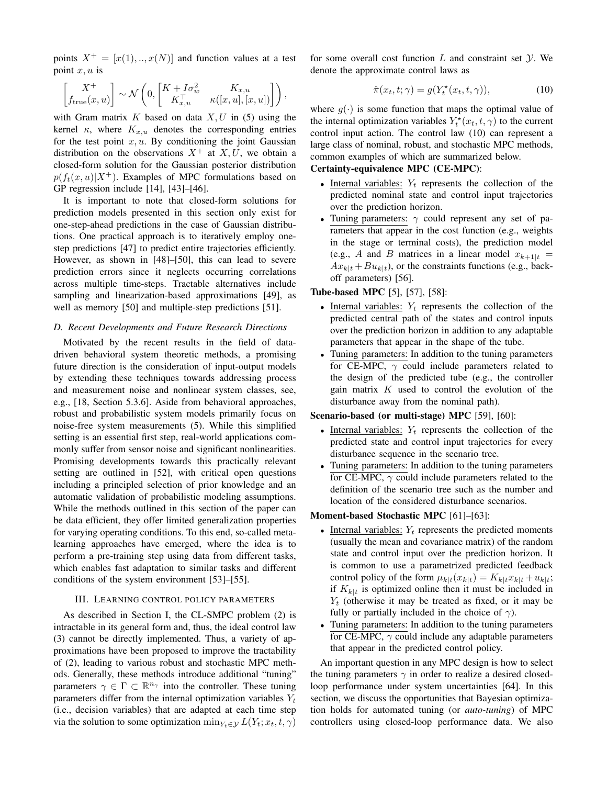points  $X^+ = [x(1), ..., x(N)]$  and function values at a test point  $x, u$  is

$$
\begin{bmatrix} X^+ \\ f_{\text{true}}(x, u) \end{bmatrix} \sim \mathcal{N}\left(0, \begin{bmatrix} K + I\sigma_w^2 & K_{x, u} \\ K_{x, u}^\top & \kappa([x, u], [x, u]) \end{bmatrix}\right),
$$

with Gram matrix  $K$  based on data  $X, U$  in (5) using the kernel  $\kappa$ , where  $K_{x,u}$  denotes the corresponding entries for the test point  $x, u$ . By conditioning the joint Gaussian distribution on the observations  $X^+$  at X, U, we obtain a closed-form solution for the Gaussian posterior distribution  $p(f_t(x, u)|X^+)$ . Examples of MPC formulations based on GP regression include  $[14]$ ,  $[43]$ – $[46]$ .

It is important to note that closed-form solutions for prediction models presented in this section only exist for one-step-ahead predictions in the case of Gaussian distributions. One practical approach is to iteratively employ onestep predictions [47] to predict entire trajectories efficiently. However, as shown in [48]–[50], this can lead to severe prediction errors since it neglects occurring correlations across multiple time-steps. Tractable alternatives include sampling and linearization-based approximations [49], as well as memory [50] and multiple-step predictions [51].

# D. Recent Developments and Future Research Directions

Motivated by the recent results in the field of datadriven behavioral system theoretic methods, a promising future direction is the consideration of input-output models by extending these techniques towards addressing process and measurement noise and nonlinear system classes, see, e.g., [18, Section 5.3.6]. Aside from behavioral approaches, robust and probabilistic system models primarily focus on noise-free system measurements (5). While this simplified setting is an essential first step, real-world applications commonly suffer from sensor noise and significant nonlinearities. Promising developments towards this practically relevant setting are outlined in [52], with critical open questions including a principled selection of prior knowledge and an automatic validation of probabilistic modeling assumptions. While the methods outlined in this section of the paper can be data efficient, they offer limited generalization properties for varying operating conditions. To this end, so-called metalearning approaches have emerged, where the idea is to perform a pre-training step using data from different tasks, which enables fast adaptation to similar tasks and different conditions of the system environment [53]–[55].

# III. LEARNING CONTROL POLICY PARAMETERS

As described in Section I, the CL-SMPC problem (2) is intractable in its general form and, thus, the ideal control law (3) cannot be directly implemented. Thus, a variety of approximations have been proposed to improve the tractability of (2), leading to various robust and stochastic MPC methods. Generally, these methods introduce additional "tuning" parameters  $\gamma \in \Gamma \subset \mathbb{R}^{n_{\gamma}}$  into the controller. These tuning parameters differ from the internal optimization variables  $Y_t$ (i.e., decision variables) that are adapted at each time step via the solution to some optimization  $\min_{Y_t \in \mathcal{Y}} L(Y_t; x_t, t, \gamma)$ 

for some overall cost function  $L$  and constraint set  $Y$ . We denote the approximate control laws as

$$
\hat{\pi}(x_t, t; \gamma) = g(Y_t^*(x_t, t, \gamma)), \tag{10}
$$

where  $q(\cdot)$  is some function that maps the optimal value of the internal optimization variables  $Y_t^*(x_t, t, \gamma)$  to the current control input action. The control law (10) can represent a large class of nominal, robust, and stochastic MPC methods, common examples of which are summarized below.

# Certainty-equivalence MPC (CE-MPC):

- Internal variables:  $Y_t$  represents the collection of the predicted nominal state and control input trajectories over the prediction horizon.
- Tuning parameters:  $\gamma$  could represent any set of parameters that appear in the cost function (e.g., weights) in the stage or terminal costs), the prediction model (e.g., A and B matrices in a linear model  $x_{k+1}|_t =$  $Ax_{k|t} + Bu_{k|t}$ , or the constraints functions (e.g., backoff parameters) [56].

#### **Tube-based MPC** [5], [57], [58]:

- Internal variables:  $Y_t$  represents the collection of the predicted central path of the states and control inputs over the prediction horizon in addition to any adaptable parameters that appear in the shape of the tube.
- Tuning parameters: In addition to the tuning parameters for CE-MPC,  $\gamma$  could include parameters related to the design of the predicted tube (e.g., the controller gain matrix  $K$  used to control the evolution of the disturbance away from the nominal path).

# Scenario-based (or multi-stage) MPC [59], [60]:

- Internal variables:  $Y_t$  represents the collection of the predicted state and control input trajectories for every disturbance sequence in the scenario tree.
- Tuning parameters: In addition to the tuning parameters for CE-MPC,  $\gamma$  could include parameters related to the definition of the scenario tree such as the number and location of the considered disturbance scenarios.

# Moment-based Stochastic MPC [61]-[63]:

- Internal variables:  $Y_t$  represents the predicted moments (usually the mean and covariance matrix) of the random state and control input over the prediction horizon. It is common to use a parametrized predicted feedback control policy of the form  $\mu_{k|t}(x_{k|t}) = K_{k|t}x_{k|t} + u_{k|t}$ ; if  $K_{k|t}$  is optimized online then it must be included in  $Y_t$  (otherwise it may be treated as fixed, or it may be fully or partially included in the choice of  $\gamma$ ).
- Tuning parameters: In addition to the tuning parameters  $\bullet$ for CE-MPC,  $\gamma$  could include any adaptable parameters that appear in the predicted control policy.

An important question in any MPC design is how to select the tuning parameters  $\gamma$  in order to realize a desired closedloop performance under system uncertainties [64]. In this section, we discuss the opportunities that Bayesian optimization holds for automated tuning (or *auto-tuning*) of MPC controllers using closed-loop performance data. We also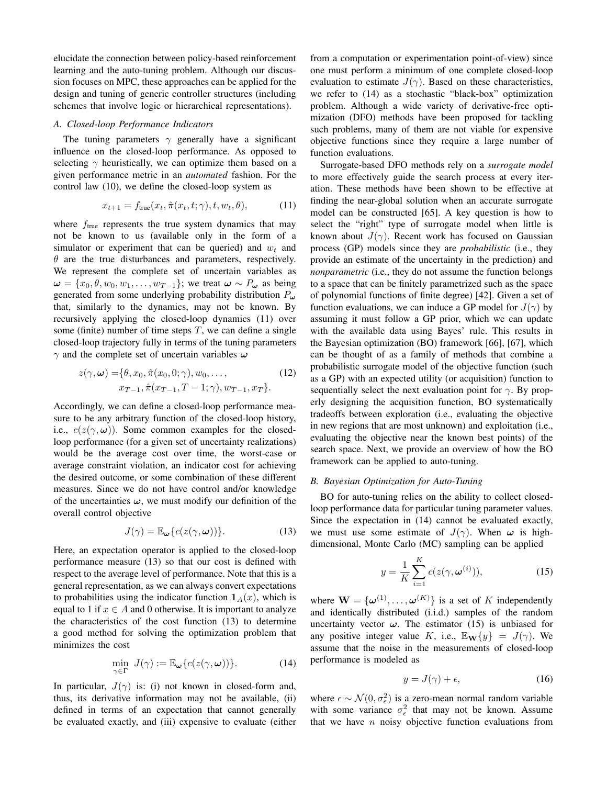elucidate the connection between policy-based reinforcement learning and the auto-tuning problem. Although our discussion focuses on MPC, these approaches can be applied for the design and tuning of generic controller structures (including schemes that involve logic or hierarchical representations).

# A. Closed-loop Performance Indicators

The tuning parameters  $\gamma$  generally have a significant influence on the closed-loop performance. As opposed to selecting  $\gamma$  heuristically, we can optimize them based on a given performance metric in an *automated* fashion. For the control law (10), we define the closed-loop system as

$$
x_{t+1} = f_{\text{true}}(x_t, \hat{\pi}(x_t, t; \gamma), t, w_t, \theta), \tag{11}
$$

where  $f_{true}$  represents the true system dynamics that may not be known to us (available only in the form of a simulator or experiment that can be queried) and  $w_t$  and  $\theta$  are the true disturbances and parameters, respectively. We represent the complete set of uncertain variables as  $\boldsymbol{\omega} = \{x_0, \theta, w_0, w_1, \dots, w_{T-1}\}$ ; we treat  $\boldsymbol{\omega} \sim P_{\boldsymbol{\omega}}$  as being generated from some underlying probability distribution  $P_{\omega}$ that, similarly to the dynamics, may not be known. By recursively applying the closed-loop dynamics (11) over some (finite) number of time steps  $T$ , we can define a single closed-loop trajectory fully in terms of the tuning parameters  $\gamma$  and the complete set of uncertain variables  $\omega$ 

$$
z(\gamma, \omega) = \{ \theta, x_0, \hat{\pi}(x_0, 0; \gamma), w_0, \dots, \qquad (12)
$$

$$
x_{T-1}, \hat{\pi}(x_{T-1}, T-1; \gamma), w_{T-1}, x_T \}.
$$

Accordingly, we can define a closed-loop performance measure to be any arbitrary function of the closed-loop history, i.e.,  $c(z(\gamma,\omega))$ . Some common examples for the closedloop performance (for a given set of uncertainty realizations) would be the average cost over time, the worst-case or average constraint violation, an indicator cost for achieving the desired outcome, or some combination of these different measures. Since we do not have control and/or knowledge of the uncertainties  $\omega$ , we must modify our definition of the overall control objective

$$
J(\gamma) = \mathbb{E}_{\omega} \{ c(z(\gamma, \omega)) \}.
$$
 (13)

Here, an expectation operator is applied to the closed-loop performance measure (13) so that our cost is defined with respect to the average level of performance. Note that this is a general representation, as we can always convert expectations to probabilities using the indicator function  $1_A(x)$ , which is equal to 1 if  $x \in A$  and 0 otherwise. It is important to analyze the characteristics of the cost function (13) to determine a good method for solving the optimization problem that minimizes the cost

$$
\min_{\gamma \in \Gamma} J(\gamma) := \mathbb{E}_{\boldsymbol{\omega}} \{ c(z(\gamma, \boldsymbol{\omega})) \}.
$$
 (14)

In particular,  $J(\gamma)$  is: (i) not known in closed-form and, thus, its derivative information may not be available, (ii) defined in terms of an expectation that cannot generally be evaluated exactly, and (iii) expensive to evaluate (either

from a computation or experimentation point-of-view) since one must perform a minimum of one complete closed-loop evaluation to estimate  $J(\gamma)$ . Based on these characteristics, we refer to (14) as a stochastic "black-box" optimization problem. Although a wide variety of derivative-free optimization (DFO) methods have been proposed for tackling such problems, many of them are not viable for expensive objective functions since they require a large number of function evaluations.

Surrogate-based DFO methods rely on a surrogate model to more effectively guide the search process at every iteration. These methods have been shown to be effective at finding the near-global solution when an accurate surrogate model can be constructed [65]. A key question is how to select the "right" type of surrogate model when little is known about  $J(\gamma)$ . Recent work has focused on Gaussian process (GP) models since they are *probabilistic* (i.e., they provide an estimate of the uncertainty in the prediction) and *nonparametric* (i.e., they do not assume the function belongs to a space that can be finitely parametrized such as the space of polynomial functions of finite degree) [42]. Given a set of function evaluations, we can induce a GP model for  $J(\gamma)$  by assuming it must follow a GP prior, which we can update with the available data using Bayes' rule. This results in the Bayesian optimization (BO) framework [66], [67], which can be thought of as a family of methods that combine a probabilistic surrogate model of the objective function (such as a GP) with an expected utility (or acquisition) function to sequentially select the next evaluation point for  $\gamma$ . By properly designing the acquisition function, BO systematically tradeoffs between exploration (i.e., evaluating the objective in new regions that are most unknown) and exploitation (i.e., evaluating the objective near the known best points) of the search space. Next, we provide an overview of how the BO framework can be applied to auto-tuning.

#### B. Bayesian Optimization for Auto-Tuning

BO for auto-tuning relies on the ability to collect closedloop performance data for particular tuning parameter values. Since the expectation in (14) cannot be evaluated exactly, we must use some estimate of  $J(\gamma)$ . When  $\omega$  is highdimensional, Monte Carlo (MC) sampling can be applied

$$
y = \frac{1}{K} \sum_{i=1}^{K} c(z(\gamma, \omega^{(i)})),
$$
 (15)

where  $\mathbf{W} = {\omega^{(1)}, \ldots, \omega^{(K)}}$  is a set of K independently and identically distributed (i.i.d.) samples of the random uncertainty vector  $\omega$ . The estimator (15) is unbiased for any positive integer value K, i.e.,  $\mathbb{E}_{\mathbf{W}}\{y\} = J(\gamma)$ . We assume that the noise in the measurements of closed-loop performance is modeled as

$$
y = J(\gamma) + \epsilon,\tag{16}
$$

where  $\epsilon \sim \mathcal{N}(0, \sigma_{\epsilon}^2)$  is a zero-mean normal random variable with some variance  $\sigma_{\epsilon}^2$  that may not be known. Assume that we have  $n$  noisy objective function evaluations from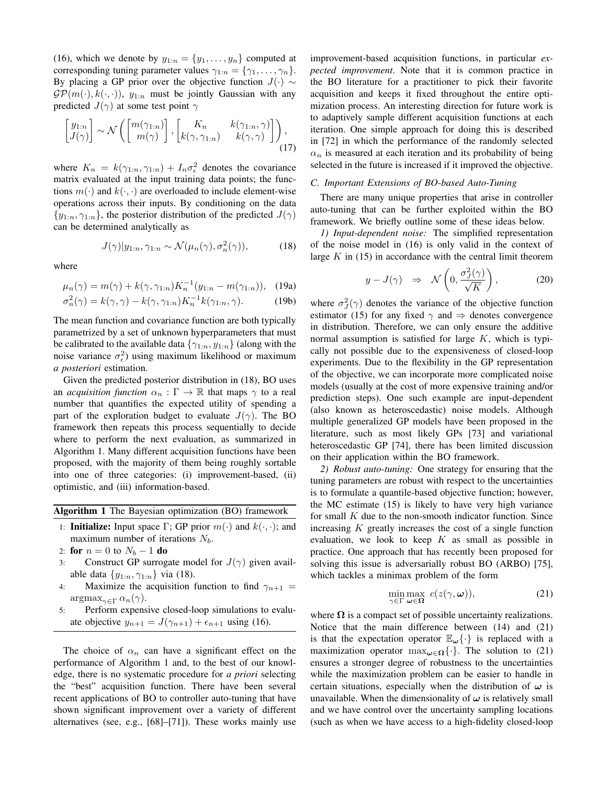(16), which we denote by  $y_{1:n} = \{y_1, \ldots, y_n\}$  computed at corresponding tuning parameter values  $\gamma_{1:n} = {\gamma_1, \ldots, \gamma_n}$ . By placing a GP prior over the objective function  $J(\cdot) \sim$  $\mathcal{GP}(m(\cdot), k(\cdot, \cdot))$ ,  $y_{1:n}$  must be jointly Gaussian with any predicted  $J(\gamma)$  at some test point  $\gamma$ 

$$
\begin{bmatrix} y_{1:n} \\ J(\gamma) \end{bmatrix} \sim \mathcal{N} \left( \begin{bmatrix} m(\gamma_{1:n}) \\ m(\gamma) \end{bmatrix}, \begin{bmatrix} K_n & k(\gamma_{1:n}, \gamma) \\ k(\gamma, \gamma_{1:n}) & k(\gamma, \gamma) \end{bmatrix} \right), \tag{17}
$$

where  $K_n = k(\gamma_{1:n}, \gamma_{1:n}) + I_n \sigma_{\epsilon}^2$  denotes the covariance matrix evaluated at the input training data points; the functions  $m(\cdot)$  and  $k(\cdot, \cdot)$  are overloaded to include element-wise operations across their inputs. By conditioning on the data  $\{y_{1:n}, \gamma_{1:n}\}\$ , the posterior distribution of the predicted  $J(\gamma)$ can be determined analytically as

$$
J(\gamma)|y_{1:n}, \gamma_{1:n} \sim \mathcal{N}(\mu_n(\gamma), \sigma_n^2(\gamma)), \tag{18}
$$

where

$$
\mu_n(\gamma) = m(\gamma) + k(\gamma, \gamma_{1:n}) K_n^{-1}(y_{1:n} - m(\gamma_{1:n})), \quad (19a)
$$

$$
\sigma_n^2(\gamma) = k(\gamma, \gamma) - k(\gamma, \gamma_{1:n}) K_n^{-1} k(\gamma_{1:n}, \gamma).
$$
 (19b)

The mean function and covariance function are both typically parametrized by a set of unknown hyperparameters that must be calibrated to the available data  $\{\gamma_{1:n}, y_{1:n}\}$  (along with the noise variance  $\sigma_{\epsilon}^2$ ) using maximum likelihood or maximum a posteriori estimation.

Given the predicted posterior distribution in (18), BO uses an *acquisition function*  $\alpha_n : \Gamma \to \mathbb{R}$  that maps  $\gamma$  to a real number that quantifies the expected utility of spending a part of the exploration budget to evaluate  $J(\gamma)$ . The BO framework then repeats this process sequentially to decide where to perform the next evaluation, as summarized in Algorithm 1. Many different acquisition functions have been proposed, with the majority of them being roughly sortable into one of three categories: (i) improvement-based, (ii) optimistic, and (iii) information-based.

|  |  |  | Algorithm 1 The Bayesian optimization (BO) framework |  |  |
|--|--|--|------------------------------------------------------|--|--|
|--|--|--|------------------------------------------------------|--|--|

- 1: **Initialize:** Input space  $\Gamma$ ; GP prior  $m(\cdot)$  and  $k(\cdot, \cdot)$ ; and maximum number of iterations  $N_b$ .
- 2: **for**  $n = 0$  to  $N_b 1$  **do**
- Construct GP surrogate model for  $J(\gamma)$  given avail- $3:$ able data  $\{y_{1:n}, \gamma_{1:n}\}\$  via (18).
- $4<sup>1</sup>$ Maximize the acquisition function to find  $\gamma_{n+1}$  =  $\arg\max_{\gamma \in \Gamma} \alpha_n(\gamma).$
- Perform expensive closed-loop simulations to evalu- $5:$ ate objective  $y_{n+1} = J(\gamma_{n+1}) + \epsilon_{n+1}$  using (16).

The choice of  $\alpha_n$  can have a significant effect on the performance of Algorithm 1 and, to the best of our knowledge, there is no systematic procedure for *a priori* selecting the "best" acquisition function. There have been several recent applications of BO to controller auto-tuning that have shown significant improvement over a variety of different alternatives (see, e.g.,  $[68]$ – $[71]$ ). These works mainly use improvement-based acquisition functions, in particular expected improvement. Note that it is common practice in the BO literature for a practitioner to pick their favorite acquisition and keeps it fixed throughout the entire optimization process. An interesting direction for future work is to adaptively sample different acquisition functions at each iteration. One simple approach for doing this is described in [72] in which the performance of the randomly selected  $\alpha_n$  is measured at each iteration and its probability of being selected in the future is increased if it improved the objective.

#### C. Important Extensions of BO-based Auto-Tuning

There are many unique properties that arise in controller auto-tuning that can be further exploited within the BO framework. We briefly outline some of these ideas below.

1) Input-dependent noise: The simplified representation of the noise model in  $(16)$  is only valid in the context of large  $K$  in (15) in accordance with the central limit theorem

$$
y - J(\gamma) \Rightarrow \mathcal{N}\left(0, \frac{\sigma_J^2(\gamma)}{\sqrt{K}}\right), \tag{20}
$$

where  $\sigma_I^2(\gamma)$  denotes the variance of the objective function estimator (15) for any fixed  $\gamma$  and  $\Rightarrow$  denotes convergence in distribution. Therefore, we can only ensure the additive normal assumption is satisfied for large  $K$ , which is typically not possible due to the expensiveness of closed-loop experiments. Due to the flexibility in the GP representation of the objective, we can incorporate more complicated noise models (usually at the cost of more expensive training and/or prediction steps). One such example are input-dependent (also known as heteroscedastic) noise models. Although multiple generalized GP models have been proposed in the literature, such as most likely GPs [73] and variational heteroscedastic GP [74], there has been limited discussion on their application within the BO framework.

2) Robust auto-tuning: One strategy for ensuring that the tuning parameters are robust with respect to the uncertainties is to formulate a quantile-based objective function; however, the MC estimate (15) is likely to have very high variance for small  $K$  due to the non-smooth indicator function. Since increasing  $K$  greatly increases the cost of a single function evaluation, we look to keep  $K$  as small as possible in practice. One approach that has recently been proposed for solving this issue is adversarially robust BO (ARBO) [75], which tackles a minimax problem of the form

$$
\min_{\gamma \in \Gamma} \max_{\omega \in \Omega} c(z(\gamma, \omega)), \tag{21}
$$

where  $\Omega$  is a compact set of possible uncertainty realizations. Notice that the main difference between (14) and (21) is that the expectation operator  $\mathbb{E}_{\omega}\{\cdot\}$  is replaced with a maximization operator  $\max_{\omega \in \Omega} {\{\cdot\}}$ . The solution to (21) ensures a stronger degree of robustness to the uncertainties while the maximization problem can be easier to handle in certain situations, especially when the distribution of  $\omega$  is unavailable. When the dimensionality of  $\omega$  is relatively small and we have control over the uncertainty sampling locations (such as when we have access to a high-fidelity closed-loop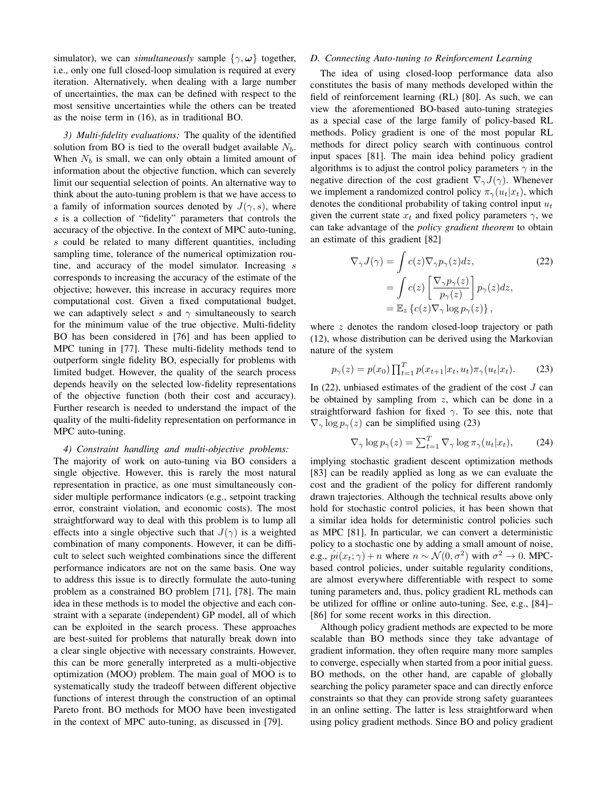simulator), we can *simultaneously* sample  $\{\gamma, \omega\}$  together, i.e., only one full closed-loop simulation is required at every iteration. Alternatively, when dealing with a large number of uncertainties, the max can be defined with respect to the most sensitive uncertainties while the others can be treated as the noise term in  $(16)$ , as in traditional BO.

3) Multi-fidelity evaluations: The quality of the identified solution from BO is tied to the overall budget available  $N_b$ . When  $N_b$  is small, we can only obtain a limited amount of information about the objective function, which can severely limit our sequential selection of points. An alternative way to think about the auto-tuning problem is that we have access to a family of information sources denoted by  $J(\gamma, s)$ , where s is a collection of "fidelity" parameters that controls the accuracy of the objective. In the context of MPC auto-tuning, s could be related to many different quantities, including sampling time, tolerance of the numerical optimization routine, and accuracy of the model simulator. Increasing s corresponds to increasing the accuracy of the estimate of the objective; however, this increase in accuracy requires more computational cost. Given a fixed computational budget, we can adaptively select s and  $\gamma$  simultaneously to search for the minimum value of the true objective. Multi-fidelity BO has been considered in [76] and has been applied to MPC tuning in [77]. These multi-fidelity methods tend to outperform single fidelity BO, especially for problems with limited budget. However, the quality of the search process depends heavily on the selected low-fidelity representations of the objective function (both their cost and accuracy). Further research is needed to understand the impact of the quality of the multi-fidelity representation on performance in MPC auto-tuning.

#### 4) Constraint handling and multi-objective problems:

The majority of work on auto-tuning via BO considers a single objective. However, this is rarely the most natural representation in practice, as one must simultaneously consider multiple performance indicators (e.g., setpoint tracking error, constraint violation, and economic costs). The most straightforward way to deal with this problem is to lump all effects into a single objective such that  $J(\gamma)$  is a weighted combination of many components. However, it can be difficult to select such weighted combinations since the different performance indicators are not on the same basis. One way to address this issue is to directly formulate the auto-tuning problem as a constrained BO problem [71], [78]. The main idea in these methods is to model the objective and each constraint with a separate (independent) GP model, all of which can be exploited in the search process. These approaches are best-suited for problems that naturally break down into a clear single objective with necessary constraints. However, this can be more generally interpreted as a multi-objective optimization (MOO) problem. The main goal of MOO is to systematically study the tradeoff between different objective functions of interest through the construction of an optimal Pareto front. BO methods for MOO have been investigated in the context of MPC auto-tuning, as discussed in [79].

# D. Connecting Auto-tuning to Reinforcement Learning

The idea of using closed-loop performance data also constitutes the basis of many methods developed within the field of reinforcement learning (RL) [80]. As such, we can view the aforementioned BO-based auto-tuning strategies as a special case of the large family of policy-based RL methods. Policy gradient is one of the most popular RL methods for direct policy search with continuous control input spaces [81]. The main idea behind policy gradient algorithms is to adjust the control policy parameters  $\gamma$  in the negative direction of the cost gradient  $\nabla_{\gamma} J(\gamma)$ . Whenever we implement a randomized control policy  $\pi_{\gamma}(u_t|x_t)$ , which denotes the conditional probability of taking control input  $u_t$ given the current state  $x_t$  and fixed policy parameters  $\gamma$ , we can take advantage of the policy gradient theorem to obtain an estimate of this gradient [82]

$$
\nabla_{\gamma}J(\gamma) = \int c(z)\nabla_{\gamma}p_{\gamma}(z)dz,
$$
\n
$$
= \int c(z)\left[\frac{\nabla_{\gamma}p_{\gamma}(z)}{p_{\gamma}(z)}\right]p_{\gamma}(z)dz,
$$
\n
$$
= \mathbb{E}_{z}\left\{c(z)\nabla_{\gamma}\log p_{\gamma}(z)\right\},
$$
\n(22)

where  $z$  denotes the random closed-loop trajectory or path (12), whose distribution can be derived using the Markovian nature of the system

$$
p_{\gamma}(z) = p(x_0) \prod_{t=1}^{T} p(x_{t+1}|x_t, u_t) \pi_{\gamma}(u_t|x_t).
$$
 (23)

In  $(22)$ , unbiased estimates of the gradient of the cost  $J$  can be obtained by sampling from  $z$ , which can be done in a straightforward fashion for fixed  $\gamma$ . To see this, note that  $\nabla_{\gamma} \log p_{\gamma}(z)$  can be simplified using (23)

$$
\nabla_{\gamma} \log p_{\gamma}(z) = \sum_{t=1}^{T} \nabla_{\gamma} \log \pi_{\gamma}(u_t | x_t), \tag{24}
$$

implying stochastic gradient descent optimization methods [83] can be readily applied as long as we can evaluate the cost and the gradient of the policy for different randomly drawn trajectories. Although the technical results above only hold for stochastic control policies, it has been shown that a similar idea holds for deterministic control policies such as MPC [81]. In particular, we can convert a deterministic policy to a stochastic one by adding a small amount of noise, e.g.,  $\hat{pi}(x_t; \gamma) + n$  where  $n \sim \mathcal{N}(0, \sigma^2)$  with  $\sigma^2 \to 0$ . MPCbased control policies, under suitable regularity conditions, are almost everywhere differentiable with respect to some tuning parameters and, thus, policy gradient RL methods can be utilized for offline or online auto-tuning. See, e.g., [84]-[86] for some recent works in this direction.

Although policy gradient methods are expected to be more scalable than BO methods since they take advantage of gradient information, they often require many more samples to converge, especially when started from a poor initial guess. BO methods, on the other hand, are capable of globally searching the policy parameter space and can directly enforce constraints so that they can provide strong safety guarantees in an online setting. The latter is less straightforward when using policy gradient methods. Since BO and policy gradient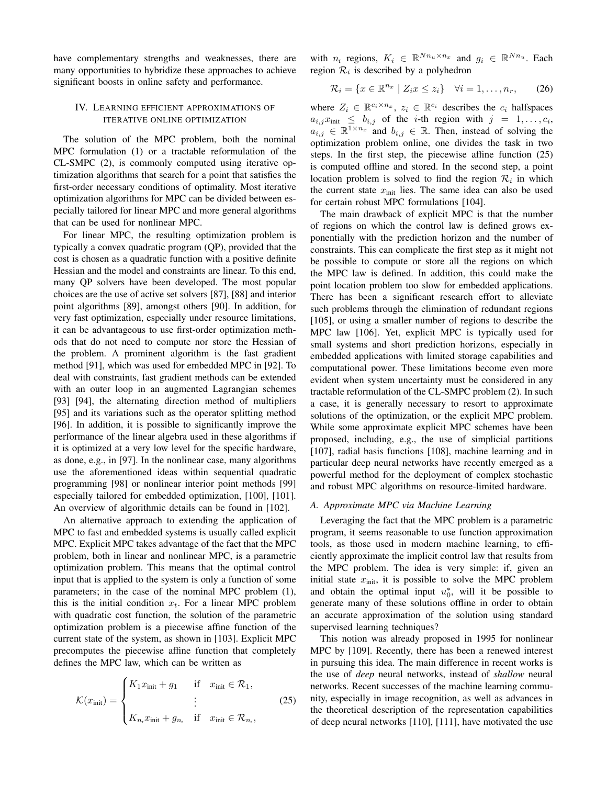have complementary strengths and weaknesses, there are many opportunities to hybridize these approaches to achieve significant boosts in online safety and performance.

# IV. LEARNING EFFICIENT APPROXIMATIONS OF ITERATIVE ONLINE OPTIMIZATION

The solution of the MPC problem, both the nominal MPC formulation (1) or a tractable reformulation of the CL-SMPC (2), is commonly computed using iterative optimization algorithms that search for a point that satisfies the first-order necessary conditions of optimality. Most iterative optimization algorithms for MPC can be divided between especially tailored for linear MPC and more general algorithms that can be used for nonlinear MPC.

For linear MPC, the resulting optimization problem is typically a convex quadratic program (QP), provided that the cost is chosen as a quadratic function with a positive definite Hessian and the model and constraints are linear. To this end, many QP solvers have been developed. The most popular choices are the use of active set solvers [87], [88] and interior point algorithms [89], amongst others [90]. In addition, for very fast optimization, especially under resource limitations, it can be advantageous to use first-order optimization methods that do not need to compute nor store the Hessian of the problem. A prominent algorithm is the fast gradient method [91], which was used for embedded MPC in [92]. To deal with constraints, fast gradient methods can be extended with an outer loop in an augmented Lagrangian schemes [93] [94], the alternating direction method of multipliers [95] and its variations such as the operator splitting method [96]. In addition, it is possible to significantly improve the performance of the linear algebra used in these algorithms if it is optimized at a very low level for the specific hardware, as done, e.g., in [97]. In the nonlinear case, many algorithms use the aforementioned ideas within sequential quadratic programming [98] or nonlinear interior point methods [99] especially tailored for embedded optimization, [100], [101]. An overview of algorithmic details can be found in [102].

An alternative approach to extending the application of MPC to fast and embedded systems is usually called explicit MPC. Explicit MPC takes advantage of the fact that the MPC problem, both in linear and nonlinear MPC, is a parametric optimization problem. This means that the optimal control input that is applied to the system is only a function of some parameters; in the case of the nominal MPC problem (1), this is the initial condition  $x_t$ . For a linear MPC problem with quadratic cost function, the solution of the parametric optimization problem is a piecewise affine function of the current state of the system, as shown in [103]. Explicit MPC precomputes the piecewise affine function that completely defines the MPC law, which can be written as

$$
\mathcal{K}(x_{\text{init}}) = \begin{cases} K_1 x_{\text{init}} + g_1 & \text{if } x_{\text{init}} \in \mathcal{R}_1, \\ \vdots & \vdots \\ K_{n_r} x_{\text{init}} + g_{n_r} & \text{if } x_{\text{init}} \in \mathcal{R}_{n_r}, \end{cases} \tag{25}
$$

with  $n_r$  regions,  $K_i \in \mathbb{R}^{Nn_u \times n_x}$  and  $g_i \in \mathbb{R}^{Nn_u}$ . Each region  $\mathcal{R}_i$  is described by a polyhedron

$$
\mathcal{R}_i = \{x \in \mathbb{R}^{n_x} \mid Z_i x \leq z_i\} \quad \forall i = 1, \dots, n_r, \qquad (26)
$$

where  $Z_i \in \mathbb{R}^{c_i \times n_x}$ ,  $z_i \in \mathbb{R}^{c_i}$  describes the  $c_i$  halfspaces  $a_{i,j}x_{\text{init}} \leq b_{i,j}$  of the *i*-th region with  $j = 1, ..., c_i$ ,<br>  $a_{i,j} \in \mathbb{R}^{1 \times n_x}$  and  $b_{i,j} \in \mathbb{R}$ . Then, instead of solving the optimization problem online, one divides the task in two steps. In the first step, the piecewise affine function  $(25)$ is computed offline and stored. In the second step, a point location problem is solved to find the region  $\mathcal{R}_i$  in which the current state  $x_{init}$  lies. The same idea can also be used for certain robust MPC formulations [104].

The main drawback of explicit MPC is that the number of regions on which the control law is defined grows exponentially with the prediction horizon and the number of constraints. This can complicate the first step as it might not be possible to compute or store all the regions on which the MPC law is defined. In addition, this could make the point location problem too slow for embedded applications. There has been a significant research effort to alleviate such problems through the elimination of redundant regions [105], or using a smaller number of regions to describe the MPC law [106]. Yet, explicit MPC is typically used for small systems and short prediction horizons, especially in embedded applications with limited storage capabilities and computational power. These limitations become even more evident when system uncertainty must be considered in any tractable reformulation of the CL-SMPC problem (2). In such a case, it is generally necessary to resort to approximate solutions of the optimization, or the explicit MPC problem. While some approximate explicit MPC schemes have been proposed, including, e.g., the use of simplicial partitions [107], radial basis functions [108], machine learning and in particular deep neural networks have recently emerged as a powerful method for the deployment of complex stochastic and robust MPC algorithms on resource-limited hardware.

#### A. Approximate MPC via Machine Learning

Leveraging the fact that the MPC problem is a parametric program, it seems reasonable to use function approximation tools, as those used in modern machine learning, to efficiently approximate the implicit control law that results from the MPC problem. The idea is very simple: if, given an initial state  $x_{\text{init}}$ , it is possible to solve the MPC problem and obtain the optimal input  $u_0^*$ , will it be possible to generate many of these solutions offline in order to obtain an accurate approximation of the solution using standard supervised learning techniques?

This notion was already proposed in 1995 for nonlinear MPC by [109]. Recently, there has been a renewed interest in pursuing this idea. The main difference in recent works is the use of *deep* neural networks, instead of *shallow* neural networks. Recent successes of the machine learning community, especially in image recognition, as well as advances in the theoretical description of the representation capabilities of deep neural networks [110], [111], have motivated the use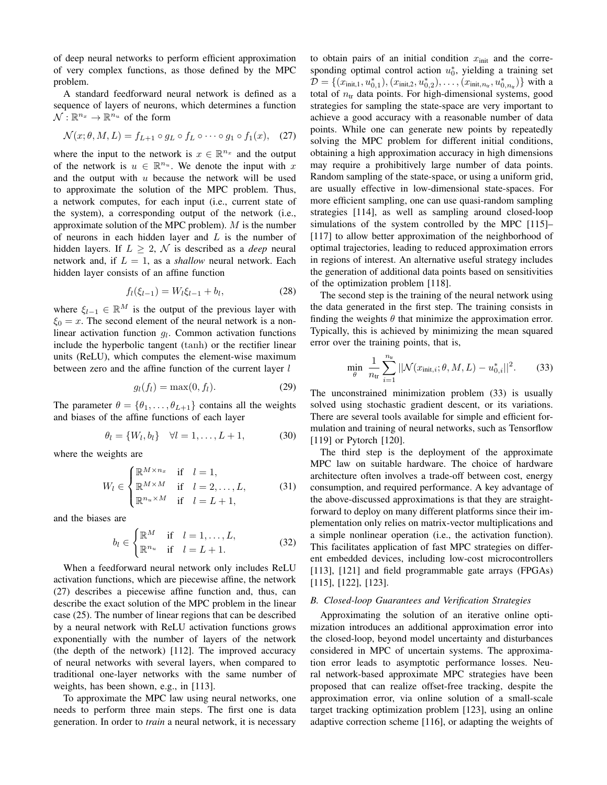of deep neural networks to perform efficient approximation of very complex functions, as those defined by the MPC problem.

A standard feedforward neural network is defined as a sequence of layers of neurons, which determines a function  $\mathcal{N}: \mathbb{R}^{n_x} \to \mathbb{R}^{n_u}$  of the form

$$
\mathcal{N}(x; \theta, M, L) = f_{L+1} \circ g_L \circ f_L \circ \cdots \circ g_1 \circ f_1(x), \quad (27)
$$

where the input to the network is  $x \in \mathbb{R}^{n_x}$  and the output of the network is  $u \in \mathbb{R}^{n_u}$ . We denote the input with x and the output with  $u$  because the network will be used to approximate the solution of the MPC problem. Thus, a network computes, for each input (i.e., current state of the system), a corresponding output of the network (i.e., approximate solution of the MPC problem).  $M$  is the number of neurons in each hidden layer and  $L$  is the number of hidden layers. If  $L > 2$ , N is described as a *deep* neural network and, if  $L = 1$ , as a *shallow* neural network. Each hidden layer consists of an affine function

$$
f_l(\xi_{l-1}) = W_l \xi_{l-1} + b_l, \tag{28}
$$

where  $\xi_{l-1} \in \mathbb{R}^M$  is the output of the previous layer with  $\xi_0 = x$ . The second element of the neural network is a nonlinear activation function  $q_l$ . Common activation functions include the hyperbolic tangent (tanh) or the rectifier linear units (ReLU), which computes the element-wise maximum between zero and the affine function of the current layer l

$$
g_l(f_l) = \max(0, f_l). \tag{29}
$$

The parameter  $\theta = {\theta_1, ..., \theta_{L+1}}$  contains all the weights and biases of the affine functions of each layer

$$
\theta_l = \{W_l, b_l\} \quad \forall l = 1, \dots, L+1,
$$
\n(30)

where the weights are

$$
W_l \in \begin{cases} \mathbb{R}^{M \times n_x} & \text{if} \quad l = 1, \\ \mathbb{R}^{M \times M} & \text{if} \quad l = 2, \dots, L, \\ \mathbb{R}^{n_u \times M} & \text{if} \quad l = L + 1, \end{cases} \tag{31}
$$

and the biases are

$$
b_l \in \begin{cases} \mathbb{R}^M & \text{if } l = 1, \dots, L, \\ \mathbb{R}^{n_u} & \text{if } l = L + 1. \end{cases}
$$
 (32)

When a feedforward neural network only includes ReLU activation functions, which are piecewise affine, the network (27) describes a piecewise affine function and, thus, can describe the exact solution of the MPC problem in the linear case (25). The number of linear regions that can be described by a neural network with ReLU activation functions grows exponentially with the number of layers of the network (the depth of the network) [112]. The improved accuracy of neural networks with several layers, when compared to traditional one-layer networks with the same number of weights, has been shown, e.g., in [113].

To approximate the MPC law using neural networks, one needs to perform three main steps. The first one is data generation. In order to *train* a neural network, it is necessary to obtain pairs of an initial condition  $x<sub>init</sub>$  and the corresponding optimal control action  $u_0^*$ , yielding a training set  $\mathcal{D} = \{(x_{\text{init},1}, u_{0,1}^*), (x_{\text{init},2}, u_{0,2}^*), \dots, (x_{\text{init},n_{\text{tr}}}, u_{0,n_{\text{tr}}}^*)\}$  with a total of  $n_{tr}$  data points. For high-dimensional systems, good strategies for sampling the state-space are very important to achieve a good accuracy with a reasonable number of data points. While one can generate new points by repeatedly solving the MPC problem for different initial conditions, obtaining a high approximation accuracy in high dimensions may require a prohibitively large number of data points. Random sampling of the state-space, or using a uniform grid, are usually effective in low-dimensional state-spaces. For more efficient sampling, one can use quasi-random sampling strategies [114], as well as sampling around closed-loop simulations of the system controlled by the MPC [115]-[117] to allow better approximation of the neighborhood of optimal trajectories, leading to reduced approximation errors in regions of interest. An alternative useful strategy includes the generation of additional data points based on sensitivities of the optimization problem [118].

The second step is the training of the neural network using the data generated in the first step. The training consists in finding the weights  $\theta$  that minimize the approximation error. Typically, this is achieved by minimizing the mean squared error over the training points, that is,

$$
\min_{\theta} \frac{1}{n_{\text{tr}}} \sum_{i=1}^{n_{\text{tr}}} ||\mathcal{N}(x_{\text{init},i}; \theta, M, L) - u_{0,i}^{*}||^{2}.
$$
 (33)

The unconstrained minimization problem (33) is usually solved using stochastic gradient descent, or its variations. There are several tools available for simple and efficient formulation and training of neural networks, such as Tensorflow  $[119]$  or Pytorch  $[120]$ .

The third step is the deployment of the approximate MPC law on suitable hardware. The choice of hardware architecture often involves a trade-off between cost, energy consumption, and required performance. A key advantage of the above-discussed approximations is that they are straightforward to deploy on many different platforms since their implementation only relies on matrix-vector multiplications and a simple nonlinear operation (i.e., the activation function). This facilitates application of fast MPC strategies on different embedded devices, including low-cost microcontrollers [113],  $[121]$  and field programmable gate arrays (FPGAs)  $[115]$ ,  $[122]$ ,  $[123]$ .

# B. Closed-loop Guarantees and Verification Strategies

Approximating the solution of an iterative online optimization introduces an additional approximation error into the closed-loop, beyond model uncertainty and disturbances considered in MPC of uncertain systems. The approximation error leads to asymptotic performance losses. Neural network-based approximate MPC strategies have been proposed that can realize offset-free tracking, despite the approximation error, via online solution of a small-scale target tracking optimization problem [123], using an online adaptive correction scheme [116], or adapting the weights of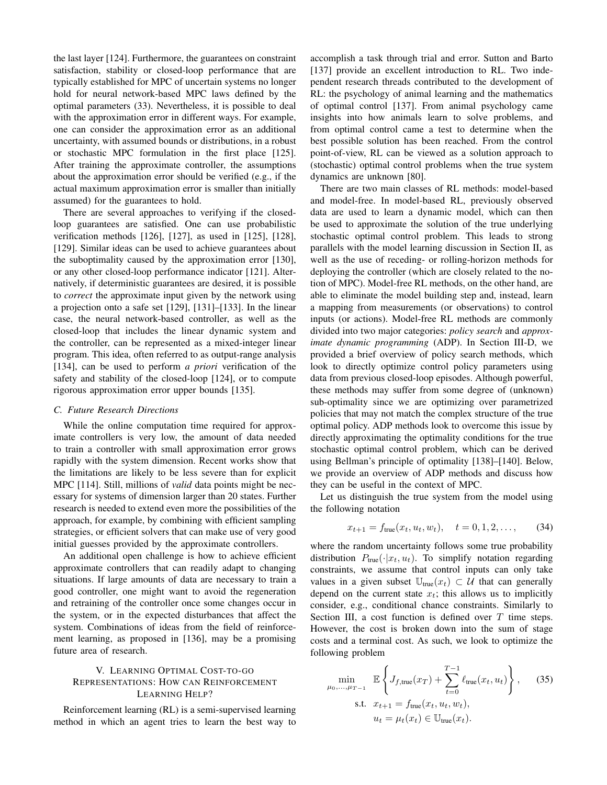the last layer [124]. Furthermore, the guarantees on constraint satisfaction, stability or closed-loop performance that are typically established for MPC of uncertain systems no longer hold for neural network-based MPC laws defined by the optimal parameters (33). Nevertheless, it is possible to deal with the approximation error in different ways. For example, one can consider the approximation error as an additional uncertainty, with assumed bounds or distributions, in a robust or stochastic MPC formulation in the first place [125]. After training the approximate controller, the assumptions about the approximation error should be verified (e.g., if the actual maximum approximation error is smaller than initially assumed) for the guarantees to hold.

There are several approaches to verifying if the closedloop guarantees are satisfied. One can use probabilistic verification methods [126], [127], as used in [125], [128], [129]. Similar ideas can be used to achieve guarantees about the suboptimality caused by the approximation error [130], or any other closed-loop performance indicator [121]. Alternatively, if deterministic guarantees are desired, it is possible to *correct* the approximate input given by the network using a projection onto a safe set  $[129]$ ,  $[131]$ – $[133]$ . In the linear case, the neural network-based controller, as well as the closed-loop that includes the linear dynamic system and the controller, can be represented as a mixed-integer linear program. This idea, often referred to as output-range analysis [134], can be used to perform *a priori* verification of the safety and stability of the closed-loop [124], or to compute rigorous approximation error upper bounds [135].

#### C. Future Research Directions

While the online computation time required for approximate controllers is very low, the amount of data needed to train a controller with small approximation error grows rapidly with the system dimension. Recent works show that the limitations are likely to be less severe than for explicit MPC [114]. Still, millions of *valid* data points might be necessary for systems of dimension larger than 20 states. Further research is needed to extend even more the possibilities of the approach, for example, by combining with efficient sampling strategies, or efficient solvers that can make use of very good initial guesses provided by the approximate controllers.

An additional open challenge is how to achieve efficient approximate controllers that can readily adapt to changing situations. If large amounts of data are necessary to train a good controller, one might want to avoid the regeneration and retraining of the controller once some changes occur in the system, or in the expected disturbances that affect the system. Combinations of ideas from the field of reinforcement learning, as proposed in [136], may be a promising future area of research.

# V. LEARNING OPTIMAL COST-TO-GO REPRESENTATIONS: HOW CAN REINFORCEMENT **LEARNING HELP?**

Reinforcement learning (RL) is a semi-supervised learning method in which an agent tries to learn the best way to accomplish a task through trial and error. Sutton and Barto [137] provide an excellent introduction to RL. Two independent research threads contributed to the development of RL: the psychology of animal learning and the mathematics of optimal control [137]. From animal psychology came insights into how animals learn to solve problems, and from optimal control came a test to determine when the best possible solution has been reached. From the control point-of-view, RL can be viewed as a solution approach to (stochastic) optimal control problems when the true system dynamics are unknown [80].

There are two main classes of RL methods: model-based and model-free. In model-based RL, previously observed data are used to learn a dynamic model, which can then be used to approximate the solution of the true underlying stochastic optimal control problem. This leads to strong parallels with the model learning discussion in Section II, as well as the use of receding- or rolling-horizon methods for deploying the controller (which are closely related to the notion of MPC). Model-free RL methods, on the other hand, are able to eliminate the model building step and, instead, learn a mapping from measurements (or observations) to control inputs (or actions). Model-free RL methods are commonly divided into two major categories: *policy search* and *approx*imate dynamic programming (ADP). In Section III-D, we provided a brief overview of policy search methods, which look to directly optimize control policy parameters using data from previous closed-loop episodes. Although powerful, these methods may suffer from some degree of (unknown) sub-optimality since we are optimizing over parametrized policies that may not match the complex structure of the true optimal policy. ADP methods look to overcome this issue by directly approximating the optimality conditions for the true stochastic optimal control problem, which can be derived using Bellman's principle of optimality [138]-[140]. Below, we provide an overview of ADP methods and discuss how they can be useful in the context of MPC.

Let us distinguish the true system from the model using the following notation

$$
x_{t+1} = f_{\text{true}}(x_t, u_t, w_t), \quad t = 0, 1, 2, \dots,
$$
 (34)

where the random uncertainty follows some true probability distribution  $P_{true}(\cdot|x_t, u_t)$ . To simplify notation regarding constraints, we assume that control inputs can only take values in a given subset  $\mathbb{U}_{true}(x_t) \subset \mathcal{U}$  that can generally depend on the current state  $x_t$ ; this allows us to implicitly consider, e.g., conditional chance constraints. Similarly to Section III, a cost function is defined over  $T$  time steps. However, the cost is broken down into the sum of stage costs and a terminal cost. As such, we look to optimize the following problem

$$
\min_{\mu_0, ..., \mu_{T-1}} \mathbb{E} \left\{ J_{f, \text{true}}(x_T) + \sum_{t=0}^{T-1} \ell_{\text{true}}(x_t, u_t) \right\}, \quad (35)
$$
\n
$$
\text{s.t.} \quad x_{t+1} = f_{\text{true}}(x_t, u_t, w_t),
$$
\n
$$
u_t = \mu_t(x_t) \in \mathbb{U}_{\text{true}}(x_t).
$$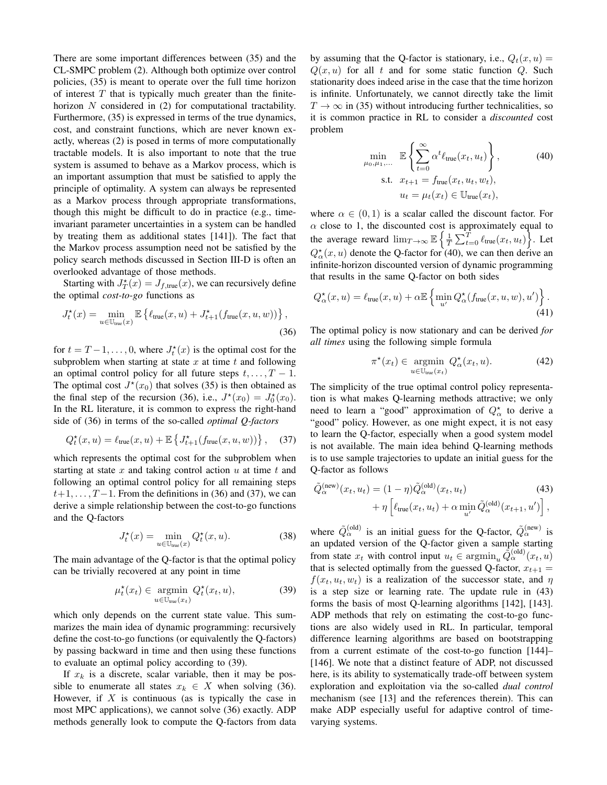There are some important differences between (35) and the CL-SMPC problem (2). Although both optimize over control policies, (35) is meant to operate over the full time horizon of interest  $T$  that is typically much greater than the finitehorizon  $N$  considered in (2) for computational tractability. Furthermore, (35) is expressed in terms of the true dynamics, cost, and constraint functions, which are never known exactly, whereas (2) is posed in terms of more computationally tractable models. It is also important to note that the true system is assumed to behave as a Markov process, which is an important assumption that must be satisfied to apply the principle of optimality. A system can always be represented as a Markov process through appropriate transformations, though this might be difficult to do in practice (e.g., timeinvariant parameter uncertainties in a system can be handled by treating them as additional states [141]). The fact that the Markov process assumption need not be satisfied by the policy search methods discussed in Section III-D is often an overlooked advantage of those methods.

Starting with  $J_T^*(x) = J_{f,\text{true}}(x)$ , we can recursively define the optimal *cost-to-go* functions as

$$
J_t^{\star}(x) = \min_{u \in \mathbb{U}_{\text{true}}(x)} \mathbb{E} \left\{ \ell_{\text{true}}(x, u) + J_{t+1}^{\star}(f_{\text{true}}(x, u, w)) \right\},\tag{36}
$$

for  $t = T - 1, \ldots, 0$ , where  $J_t^*(x)$  is the optimal cost for the subproblem when starting at state  $x$  at time  $t$  and following an optimal control policy for all future steps  $t, \ldots, T-1$ . The optimal cost  $J^*(x_0)$  that solves (35) is then obtained as the final step of the recursion (36), i.e.,  $J^*(x_0) = J_0^*(x_0)$ . In the RL literature, it is common to express the right-hand side of (36) in terms of the so-called *optimal Q-factors* 

$$
Q_t^*(x, u) = \ell_{\text{true}}(x, u) + \mathbb{E}\left\{J_{t+1}^*(f_{\text{true}}(x, u, w))\right\}, \quad (37)
$$

which represents the optimal cost for the subproblem when starting at state x and taking control action  $u$  at time t and following an optimal control policy for all remaining steps  $t+1, \ldots, T-1$ . From the definitions in (36) and (37), we can derive a simple relationship between the cost-to-go functions and the Q-factors

$$
J_t^{\star}(x) = \min_{u \in \mathbb{U}_{\text{true}}(x)} Q_t^{\star}(x, u). \tag{38}
$$

The main advantage of the Q-factor is that the optimal policy can be trivially recovered at any point in time

$$
\mu_t^{\star}(x_t) \in \underset{u \in \mathbb{U}_{\text{true}}(x_t)}{\operatorname{argmin}} Q_t^{\star}(x_t, u), \tag{39}
$$

which only depends on the current state value. This summarizes the main idea of dynamic programming: recursively define the cost-to-go functions (or equivalently the Q-factors) by passing backward in time and then using these functions to evaluate an optimal policy according to (39).

If  $x_k$  is a discrete, scalar variable, then it may be possible to enumerate all states  $x_k \in X$  when solving (36). However, if  $X$  is continuous (as is typically the case in most MPC applications), we cannot solve (36) exactly. ADP methods generally look to compute the O-factors from data by assuming that the Q-factor is stationary, i.e.,  $Q_t(x, u) =$  $Q(x, u)$  for all t and for some static function Q. Such stationarity does indeed arise in the case that the time horizon is infinite. Unfortunately, we cannot directly take the limit  $T \to \infty$  in (35) without introducing further technicalities, so it is common practice in RL to consider a *discounted* cost problem

$$
\min_{\mu_0, \mu_1, \dots} \mathbb{E} \left\{ \sum_{t=0}^{\infty} \alpha^t \ell_{\text{true}}(x_t, u_t) \right\},
$$
\n
$$
\text{s.t. } x_{t+1} = f_{\text{true}}(x_t, u_t, w_t),
$$
\n
$$
u_t = \mu_t(x_t) \in \mathbb{U}_{\text{true}}(x_t),
$$
\n(40)

where  $\alpha \in (0,1)$  is a scalar called the discount factor. For  $\alpha$  close to 1, the discounted cost is approximately equal to the average reward  $\lim_{T\to\infty} \mathbb{E}\left\{\frac{1}{T}\sum_{t=0}^T \ell_{\text{true}}(x_t, u_t)\right\}$ . Let  $Q_{\alpha}^{\star}(x, u)$  denote the Q-factor for (40), we can then derive an infinite-horizon discounted version of dynamic programming that results in the same Q-factor on both sides

$$
Q_{\alpha}^{\star}(x, u) = \ell_{\text{true}}(x, u) + \alpha \mathbb{E} \left\{ \min_{u'} Q_{\alpha}^{\star}(f_{\text{true}}(x, u, w), u') \right\}.
$$
\n(41)

The optimal policy is now stationary and can be derived for all times using the following simple formula

$$
\pi^{\star}(x_t) \in \underset{u \in \mathbb{U}_{\text{true}}(x_t)}{\operatorname{argmin}} Q_{\alpha}^{\star}(x_t, u). \tag{42}
$$

The simplicity of the true optimal control policy representation is what makes Q-learning methods attractive; we only need to learn a "good" approximation of  $Q_{\alpha}^*$  to derive a "good" policy. However, as one might expect, it is not easy to learn the Q-factor, especially when a good system model is not available. The main idea behind Q-learning methods is to use sample trajectories to update an initial guess for the Q-factor as follows

$$
\tilde{Q}_{\alpha}^{(\text{new})}(x_t, u_t) = (1 - \eta) \tilde{Q}_{\alpha}^{(\text{old})}(x_t, u_t)
$$
\n
$$
+ \eta \left[ \ell_{\text{true}}(x_t, u_t) + \alpha \min_{u'} \tilde{Q}_{\alpha}^{(\text{old})}(x_{t+1}, u') \right],
$$
\n(43)

where  $\tilde{Q}_{\alpha}^{(\text{old})}$  is an initial guess for the Q-factor,  $\tilde{Q}_{\alpha}^{(\text{new})}$  is an updated version of the Q-factor given a sample starting from state  $x_t$  with control input  $u_t \in \operatorname{argmin}_u \tilde{Q}^{(\text{old})}_\alpha(x_t, u)$ that is selected optimally from the guessed Q-factor,  $x_{t+1}$  =  $f(x_t, u_t, w_t)$  is a realization of the successor state, and  $\eta$ is a step size or learning rate. The update rule in (43) forms the basis of most Q-learning algorithms [142], [143]. ADP methods that rely on estimating the cost-to-go functions are also widely used in RL. In particular, temporal difference learning algorithms are based on bootstrapping from a current estimate of the cost-to-go function  $[144]$ -[146]. We note that a distinct feature of ADP, not discussed here, is its ability to systematically trade-off between system exploration and exploitation via the so-called dual control mechanism (see [13] and the references therein). This can make ADP especially useful for adaptive control of timevarying systems.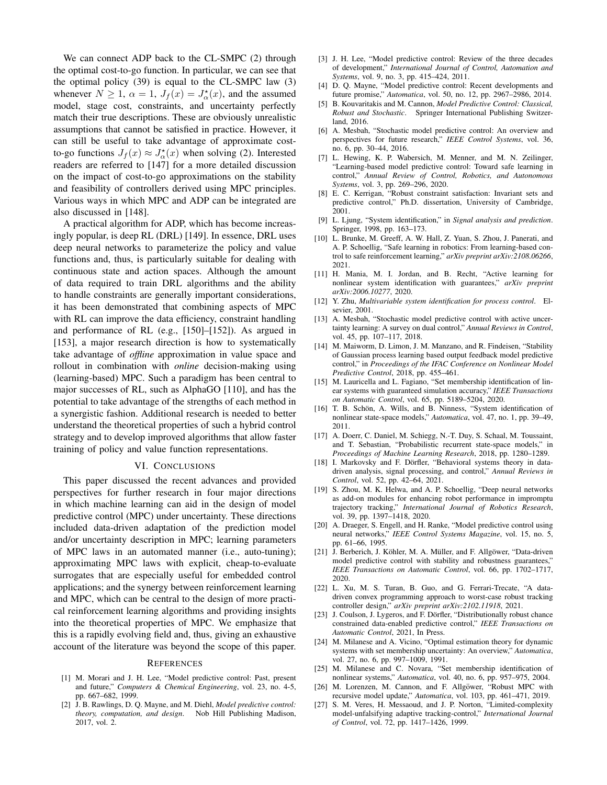We can connect ADP back to the CL-SMPC (2) through the optimal cost-to-go function. In particular, we can see that the optimal policy (39) is equal to the CL-SMPC law (3) whenever  $N \ge 1$ ,  $\alpha = 1$ ,  $J_f(x) = J_{\alpha}^*(x)$ , and the assumed model, stage cost, constraints, and uncertainty perfectly match their true descriptions. These are obviously unrealistic assumptions that cannot be satisfied in practice. However, it can still be useful to take advantage of approximate costto-go functions  $J_f(x) \approx J_{\alpha}^*(x)$  when solving (2). Interested readers are referred to [147] for a more detailed discussion on the impact of cost-to-go approximations on the stability and feasibility of controllers derived using MPC principles. Various ways in which MPC and ADP can be integrated are also discussed in [148].

A practical algorithm for ADP, which has become increasingly popular, is deep RL (DRL) [149]. In essence, DRL uses deep neural networks to parameterize the policy and value functions and, thus, is particularly suitable for dealing with continuous state and action spaces. Although the amount of data required to train DRL algorithms and the ability to handle constraints are generally important considerations, it has been demonstrated that combining aspects of MPC with RL can improve the data efficiency, constraint handling and performance of RL (e.g.,  $[150]$ – $[152]$ ). As argued in [153], a major research direction is how to systematically take advantage of *offline* approximation in value space and rollout in combination with *online* decision-making using (learning-based) MPC. Such a paradigm has been central to major successes of RL, such as AlphaGO [110], and has the potential to take advantage of the strengths of each method in a synergistic fashion. Additional research is needed to better understand the theoretical properties of such a hybrid control strategy and to develop improved algorithms that allow faster training of policy and value function representations.

#### VI. CONCLUSIONS

This paper discussed the recent advances and provided perspectives for further research in four major directions in which machine learning can aid in the design of model predictive control (MPC) under uncertainty. These directions included data-driven adaptation of the prediction model and/or uncertainty description in MPC; learning parameters of MPC laws in an automated manner (i.e., auto-tuning); approximating MPC laws with explicit, cheap-to-evaluate surrogates that are especially useful for embedded control applications; and the synergy between reinforcement learning and MPC, which can be central to the design of more practical reinforcement learning algorithms and providing insights into the theoretical properties of MPC. We emphasize that this is a rapidly evolving field and, thus, giving an exhaustive account of the literature was beyond the scope of this paper.

#### **REFERENCES**

- [1] M. Morari and J. H. Lee, "Model predictive control: Past, present and future," Computers & Chemical Engineering, vol. 23, no. 4-5, pp. 667-682, 1999.
- [2] J. B. Rawlings, D. Q. Mayne, and M. Diehl, Model predictive control: theory, computation, and design. Nob Hill Publishing Madison, 2017, vol. 2.
- [3] J. H. Lee, "Model predictive control: Review of the three decades of development," International Journal of Control, Automation and Systems, vol. 9, no. 3, pp. 415-424, 2011.
- [4] D. Q. Mayne, "Model predictive control: Recent developments and future promise," Automatica, vol. 50, no. 12, pp. 2967-2986, 2014.
- B. Kouvaritakis and M. Cannon, Model Predictive Control: Classical, [5] Robust and Stochastic. Springer International Publishing Switzerland, 2016.
- [6] A. Mesbah, "Stochastic model predictive control: An overview and perspectives for future research," IEEE Control Systems, vol. 36, no. 6, pp. 30-44, 2016.
- [7] L. Hewing, K. P. Wabersich, M. Menner, and M. N. Zeilinger, "Learning-based model predictive control: Toward safe learning in control," Annual Review of Control, Robotics, and Autonomous Systems, vol. 3, pp. 269-296, 2020.
- [8] E. C. Kerrigan, "Robust constraint satisfaction: Invariant sets and predictive control," Ph.D. dissertation, University of Cambridge, 2001.
- [9] L. Ljung, "System identification," in Signal analysis and prediction. Springer, 1998, pp. 163-173.
- [10] L. Brunke, M. Greeff, A. W. Hall, Z. Yuan, S. Zhou, J. Panerati, and A. P. Schoellig, "Safe learning in robotics: From learning-based control to safe reinforcement learning," arXiv preprint arXiv:2108.06266, 2021.
- [11] H. Mania, M. I. Jordan, and B. Recht, "Active learning for nonlinear system identification with guarantees," arXiv preprint arXiv:2006.10277, 2020.
- [12] Y. Zhu, Multivariable system identification for process control. Elsevier. 2001.
- [13] A. Mesbah, "Stochastic model predictive control with active uncertainty learning: A survey on dual control," Annual Reviews in Control, vol. 45, pp. 107-117, 2018.
- [14] M. Maiworm, D. Limon, J. M. Manzano, and R. Findeisen, "Stability of Gaussian process learning based output feedback model predictive control," in Proceedings of the IFAC Conference on Nonlinear Model Predictive Control, 2018, pp. 455-461.
- [15] M. Lauricella and L. Fagiano, "Set membership identification of linear systems with guaranteed simulation accuracy," IEEE Transactions on Automatic Control, vol. 65, pp. 5189-5204, 2020.
- T. B. Schön, A. Wills, and B. Ninness, "System identification of  $[16]$ nonlinear state-space models," Automatica, vol. 47, no. 1, pp. 39-49, 2011.
- [17] A. Doerr, C. Daniel, M. Schiegg, N.-T. Duy, S. Schaal, M. Toussaint, and T. Sebastian, "Probabilistic recurrent state-space models," in Proceedings of Machine Learning Research, 2018, pp. 1280-1289.
- [18] I. Markovsky and F. Dörfler, "Behavioral systems theory in datadriven analysis, signal processing, and control," Annual Reviews in Control, vol. 52, pp. 42-64, 2021.
- [19] S. Zhou, M. K. Helwa, and A. P. Schoellig, "Deep neural networks as add-on modules for enhancing robot performance in impromptu trajectory tracking," International Journal of Robotics Research, vol. 39, pp. 1397-1418, 2020.
- [20] A. Draeger, S. Engell, and H. Ranke, "Model predictive control using neural networks," IEEE Control Systems Magazine, vol. 15, no. 5, pp. 61-66, 1995.
- [21] J. Berberich, J. Köhler, M. A. Müller, and F. Allgöwer, "Data-driven model predictive control with stability and robustness guarantees," IEEE Transactions on Automatic Control, vol. 66, pp. 1702-1717, 2020.
- [22] L. Xu, M. S. Turan, B. Guo, and G. Ferrari-Trecate, "A datadriven convex programming approach to worst-case robust tracking controller design," arXiv preprint arXiv:2102.11918, 2021.
- [23] J. Coulson, J. Lygeros, and F. Dörfler, "Distributionally robust chance constrained data-enabled predictive control," IEEE Transactions on Automatic Control, 2021, In Press.
- [24] M. Milanese and A. Vicino, "Optimal estimation theory for dynamic systems with set membership uncertainty: An overview," Automatica, vol. 27, no. 6, pp. 997-1009, 1991.
- [25] M. Milanese and C. Novara, "Set membership identification of nonlinear systems," Automatica, vol. 40, no. 6, pp. 957-975, 2004.
- [26] M. Lorenzen, M. Cannon, and F. Allgöwer, "Robust MPC with recursive model update," Automatica, vol. 103, pp. 461-471, 2019.
- [27] S. M. Veres, H. Messaoud, and J. P. Norton, "Limited-complexity model-unfalsifying adaptive tracking-control," International Journal of Control, vol. 72, pp. 1417-1426, 1999.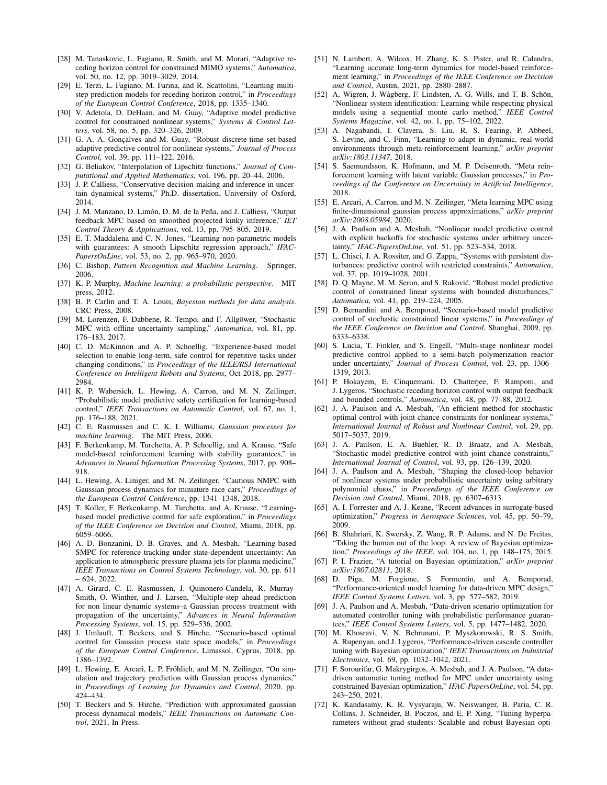- [28] M. Tanaskovic, L. Fagiano, R. Smith, and M. Morari, "Adaptive receding horizon control for constrained MIMO systems," Automatica, vol. 50, no. 12, pp. 3019-3029, 2014.
- [29] E. Terzi, L. Fagiano, M. Farina, and R. Scattolini, "Learning multistep prediction models for receding horizon control," in *Proceedings* of the European Control Conference, 2018, pp. 1335-1340.
- [30] V. Adetola, D. DeHaan, and M. Guay, "Adaptive model predictive control for constrained nonlinear systems," Systems & Control Letters, vol. 58, no. 5, pp. 320-326, 2009.
- [31] G. A. A. Goncalves and M. Guay, "Robust discrete-time set-based adaptive predictive control for nonlinear systems," Journal of Process Control, vol. 39, pp. 111-122, 2016.
- [32] G. Beliakov, "Interpolation of Lipschitz functions," Journal of Computational and Applied Mathematics, vol. 196, pp. 20-44, 2006.
- [33] J.-P. Calliess, "Conservative decision-making and inference in uncertain dynamical systems," Ph.D. dissertation, University of Oxford, 2014
- [34] J. M. Manzano, D. Limón, D. M. de la Peña, and J. Calliess, "Output feedback MPC based on smoothed projected kinky inference," IET Control Theory & Applications, vol. 13, pp. 795-805, 2019.
- [35] E. T. Maddalena and C. N. Jones, "Learning non-parametric models with guarantees: A smooth Lipschitz regression approach," IFAC-PapersOnLine, vol. 53, no. 2, pp. 965-970, 2020.
- [36] C. Bishop, Pattern Recognition and Machine Learning. Springer, 2006.
- [37] K. P. Murphy, Machine learning: a probabilistic perspective. MIT press, 2012.
- [38] B. P. Carlin and T. A. Louis, Bayesian methods for data analysis. CRC Press, 2008.
- [39] M. Lorenzen, F. Dabbene, R. Tempo, and F. Allgöwer, "Stochastic MPC with offline uncertainty sampling," Automatica, vol. 81, pp. 176-183, 2017.
- [40] C. D. McKinnon and A. P. Schoellig, "Experience-based model selection to enable long-term, safe control for repetitive tasks under changing conditions," in Proceedings of the IEEE/RSJ International Conference on Intelligent Robots and Systems, Oct 2018, pp. 2977-2984.
- [41] K. P. Wabersich, L. Hewing, A. Carron, and M. N. Zeilinger, "Probabilistic model predictive safety certification for learning-based control," IEEE Transactions on Automatic Control, vol. 67, no. 1, pp. 176-188, 2021.
- [42] C. E. Rasmussen and C. K. I. Williams, Gaussian processes for machine learning. The MIT Press, 2006.
- [43] F. Berkenkamp, M. Turchetta, A. P. Schoellig, and A. Krause, "Safe model-based reinforcement learning with stability guarantees," in Advances in Neural Information Processing Systems, 2017, pp. 908-918.
- [44] L. Hewing, A. Liniger, and M. N. Zeilinger, "Cautious NMPC with Gaussian process dynamics for miniature race cars," Proceedings of the European Control Conference, pp. 1341-1348, 2018.
- [45] T. Koller, F. Berkenkamp, M. Turchetta, and A. Krause, "Learningbased model predictive control for safe exploration," in Proceedings of the IEEE Conference on Decision and Control, Miami, 2018, pp. 6059-6066.
- [46] A. D. Bonzanini, D. B. Graves, and A. Mesbah, "Learning-based SMPC for reference tracking under state-dependent uncertainty: An application to atmospheric pressure plasma jets for plasma medicine," IEEE Transactions on Control Systems Technology, vol. 30, pp. 611 – 624, 2022.
- [47] A. Girard, C. E. Rasmussen, J. Quinonero-Candela, R. Murray-Smith, O. Winther, and J. Larsen, "Multiple-step ahead prediction for non linear dynamic systems-a Gaussian process treatment with propagation of the uncertainty," Advances in Neural Information Processing Systems, vol. 15, pp. 529-536, 2002.
- [48] J. Umlauft, T. Beckers, and S. Hirche, "Scenario-based optimal control for Gaussian process state space models," in Proceedings of the European Control Conference, Limassol, Cyprus, 2018, pp. 1386-1392.
- [49] L. Hewing, E. Arcari, L. P. Fröhlich, and M. N. Zeilinger, "On simulation and trajectory prediction with Gaussian process dynamics," in Proceedings of Learning for Dynamics and Control, 2020, pp. 424-434.
- [50] T. Beckers and S. Hirche, "Prediction with approximated gaussian process dynamical models," IEEE Transactions on Automatic Control, 2021, In Press.
- [51] N. Lambert, A. Wilcox, H. Zhang, K. S. Pister, and R. Calandra, "Learning accurate long-term dynamics for model-based reinforcement learning," in Proceedings of the IEEE Conference on Decision and Control, Austin, 2021, pp. 2880-2887.
- [52] A. Wigren, J. Wågberg, F. Lindsten, A. G. Wills, and T. B. Schön, "Nonlinear system identification: Learning while respecting physical models using a sequential monte carlo method," IEEE Control Systems Magazine, vol. 42, no. 1, pp. 75-102, 2022.
- [53] A. Nagabandi, I. Clavera, S. Liu, R. S. Fearing, P. Abbeel, S. Levine, and C. Finn, "Learning to adapt in dynamic, real-world environments through meta-reinforcement learning," arXiv preprint arXiv:1803.11347, 2018.
- [54] S. Saemundsson, K. Hofmann, and M. P. Deisenroth, "Meta reinforcement learning with latent variable Gaussian processes," in Proceedings of the Conference on Uncertainty in Artificial Intelligence. 2018.
- [55] E. Arcari, A. Carron, and M. N. Zeilinger, "Meta learning MPC using finite-dimensional gaussian process approximations," arXiv preprint arXiv:2008.05984, 2020.
- [56] J. A. Paulson and A. Mesbah, "Nonlinear model predictive control with explicit backoffs for stochastic systems under arbitrary uncertainty," IFAC-PapersOnLine, vol. 51, pp. 523-534, 2018.
- [57] L. Chisci, J. A. Rossiter, and G. Zappa, "Systems with persistent disturbances: predictive control with restricted constraints." Automatica, vol. 37, pp. 1019-1028, 2001.
- [58] D. O. Mayne, M. M. Seron, and S. Raković, "Robust model predictive control of constrained linear systems with bounded disturbances," Automatica, vol. 41, pp. 219-224, 2005.
- [59] D. Bernardini and A. Bemporad, "Scenario-based model predictive control of stochastic constrained linear systems," in Proceedings of the IEEE Conference on Decision and Control, Shanghai, 2009, pp. 6333-6338.
- [60] S. Lucia, T. Finkler, and S. Engell, "Multi-stage nonlinear model predictive control applied to a semi-batch polymerization reactor under uncertainty," Journal of Process Control, vol. 23, pp. 1306-1319, 2013.
- [61] P. Hokayem, E. Cinquemani, D. Chatterjee, F. Ramponi, and J. Lygeros, "Stochastic receding horizon control with output feedback and bounded controls," Automatica, vol. 48, pp. 77-88, 2012.
- [62] J. A. Paulson and A. Mesbah, "An efficient method for stochastic optimal control with joint chance constraints for nonlinear systems," International Journal of Robust and Nonlinear Control, vol. 29, pp. 5017-5037 2019
- [63] J. A. Paulson, E. A. Buehler, R. D. Braatz, and A. Mesbah, "Stochastic model predictive control with joint chance constraints," International Journal of Control, vol. 93, pp. 126-139, 2020.
- [64] J. A. Paulson and A. Mesbah, "Shaping the closed-loop behavior of nonlinear systems under probabilistic uncertainty using arbitrary polynomial chaos," in Proceedings of the IEEE Conference on Decision and Control, Miami, 2018, pp. 6307-6313.
- [65] A. I. Forrester and A. J. Keane, "Recent advances in surrogate-based optimization," Progress in Aerospace Sciences, vol. 45, pp. 50-79, 2009.
- [66] B. Shahriari, K. Swersky, Z. Wang, R. P. Adams, and N. De Freitas, "Taking the human out of the loop: A review of Bayesian optimization," Proceedings of the IEEE, vol. 104, no. 1, pp. 148-175, 2015.
- [67] P. I. Frazier, "A tutorial on Bayesian optimization," arXiv preprint arXiv:1807.02811, 2018.
- [68] D. Piga, M. Forgione, S. Formentin, and A. Bemporad, "Performance-oriented model learning for data-driven MPC design," IEEE Control Systems Letters, vol. 3, pp. 577-582, 2019.
- [69] J. A. Paulson and A. Mesbah, "Data-driven scenario optimization for automated controller tuning with probabilistic performance guarantees," IEEE Control Systems Letters, vol. 5, pp. 1477–1482, 2020.
- [70] M. Khosravi, V. N. Behrunani, P. Myszkorowski, R. S. Smith, A. Rupenyan, and J. Lygeros, "Performance-driven cascade controller tuning with Bayesian optimization," IEEE Transactions on Industrial Electronics, vol. 69, pp. 1032-1042, 2021.
- [71] F. Sorourifar, G. Makrygirgos, A. Mesbah, and J. A. Paulson, "A datadriven automatic tuning method for MPC under uncertainty using constrained Bayesian optimization," IFAC-PapersOnLine, vol. 54, pp. 243-250, 2021.
- [72] K. Kandasamy, K. R. Vysyaraju, W. Neiswanger, B. Paria, C. R. Collins, J. Schneider, B. Poczos, and E. P. Xing, "Tuning hyperparameters without grad students: Scalable and robust Bayesian opti-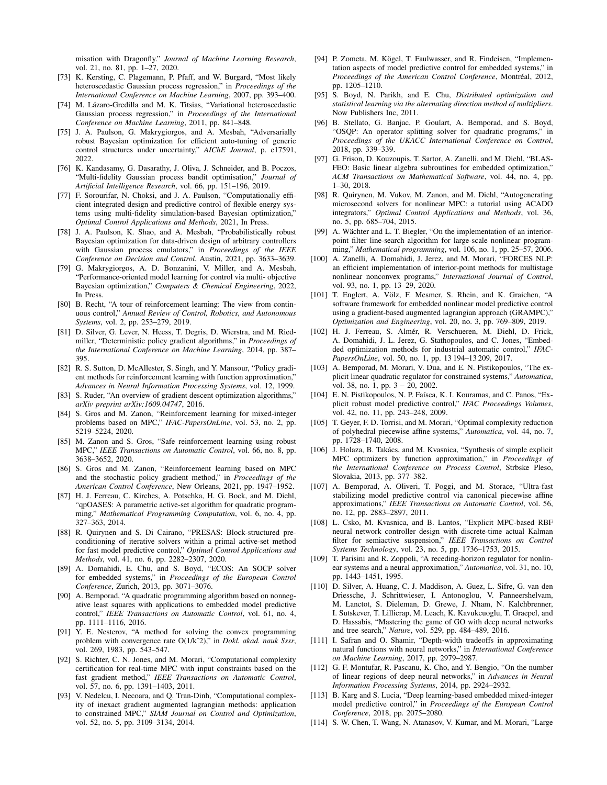misation with Dragonfly." Journal of Machine Learning Research, vol. 21, no. 81, pp. 1-27, 2020.

- [73] K. Kersting, C. Plagemann, P. Pfaff, and W. Burgard, "Most likely heteroscedastic Gaussian process regression," in Proceedings of the International Conference on Machine Learning, 2007, pp. 393-400.
- [74] M. Lázaro-Gredilla and M. K. Titsias, "Variational heteroscedastic Gaussian process regression," in Proceedings of the International Conference on Machine Learning, 2011, pp. 841-848.
- [75] J. A. Paulson, G. Makrygiorgos, and A. Mesbah, "Adversarially robust Bayesian optimization for efficient auto-tuning of generic control structures under uncertainty," AIChE Journal, p. e17591, 2022.
- [76] K. Kandasamy, G. Dasarathy, J. Oliva, J. Schneider, and B. Poczos, "Multi-fidelity Gaussian process bandit optimisation," Journal of Artificial Intelligence Research, vol. 66, pp. 151-196, 2019.
- [77] F. Sorourifar, N. Choksi, and J. A. Paulson, "Computationally efficient integrated design and predictive control of flexible energy systems using multi-fidelity simulation-based Bayesian optimization," Optimal Control Applications and Methods, 2021, In Press.
- [78] J. A. Paulson, K. Shao, and A. Mesbah, "Probabilistically robust Bayesian optimization for data-driven design of arbitrary controllers with Gaussian process emulators," in Proceedings of the IEEE Conference on Decision and Control, Austin, 2021, pp. 3633-3639.
- [79] G. Makrygiorgos, A. D. Bonzanini, V. Miller, and A. Mesbah, "Performance-oriented model learning for control via multi- objective Bayesian optimization," Computers & Chemical Engineering, 2022, In Press.
- [80] B. Recht, "A tour of reinforcement learning: The view from continuous control," Annual Review of Control, Robotics, and Autonomous Systems, vol. 2, pp. 253-279, 2019.
- [81] D. Silver, G. Lever, N. Heess, T. Degris, D. Wierstra, and M. Riedmiller, "Deterministic policy gradient algorithms," in *Proceedings of* the International Conference on Machine Learning, 2014, pp. 387-395
- [82] R. S. Sutton, D. McAllester, S. Singh, and Y. Mansour, "Policy gradient methods for reinforcement learning with function approximation," Advances in Neural Information Processing Systems, vol. 12, 1999.
- [83] S. Ruder, "An overview of gradient descent optimization algorithms," arXiv preprint arXiv:1609.04747, 2016.
- [84] S. Gros and M. Zanon, "Reinforcement learning for mixed-integer problems based on MPC," IFAC-PapersOnLine, vol. 53, no. 2, pp. 5219-5224, 2020.
- [85] M. Zanon and S. Gros, "Safe reinforcement learning using robust MPC," IEEE Transactions on Automatic Control, vol. 66, no. 8, pp. 3638-3652, 2020.
- [86] S. Gros and M. Zanon, "Reinforcement learning based on MPC and the stochastic policy gradient method," in Proceedings of the American Control Conference, New Orleans, 2021, pp. 1947-1952.
- [87] H. J. Ferreau, C. Kirches, A. Potschka, H. G. Bock, and M. Diehl, "qpOASES: A parametric active-set algorithm for quadratic programming," Mathematical Programming Computation, vol. 6, no. 4, pp. 327-363, 2014.
- [88] R. Quirynen and S. Di Cairano, "PRESAS: Block-structured preconditioning of iterative solvers within a primal active-set method for fast model predictive control," Optimal Control Applications and Methods, vol. 41, no. 6, pp. 2282-2307, 2020.
- [89] A. Domahidi, E. Chu, and S. Boyd, "ECOS: An SOCP solver for embedded systems," in Proceedings of the European Control Conference, Zurich, 2013, pp. 3071-3076.
- [90] A. Bemporad, "A quadratic programming algorithm based on nonnegative least squares with applications to embedded model predictive control," IEEE Transactions on Automatic Control, vol. 61, no. 4, рр. 1111-1116, 2016.
- [91] Y. E. Nesterov, "A method for solving the convex programming problem with convergence rate  $O(1/k^2)$ ," in *Dokl. akad. nauk Sssr.* vol. 269, 1983, pp. 543-547.
- [92] S. Richter, C. N. Jones, and M. Morari, "Computational complexity certification for real-time MPC with input constraints based on the fast gradient method," IEEE Transactions on Automatic Control, vol. 57, no. 6, pp. 1391-1403, 2011.
- [93] V. Nedelcu, I. Necoara, and Q. Tran-Dinh, "Computational complexity of inexact gradient augmented lagrangian methods: application to constrained MPC," SIAM Journal on Control and Optimization, vol. 52, no. 5, pp. 3109-3134, 2014.
- [94] P. Zometa, M. Kögel, T. Faulwasser, and R. Findeisen, "Implementation aspects of model predictive control for embedded systems," in Proceedings of the American Control Conference, Montréal, 2012, pp. 1205-1210.
- [95] S. Boyd, N. Parikh, and E. Chu, Distributed optimization and statistical learning via the alternating direction method of multipliers. Now Publishers Inc. 2011.
- [96] B. Stellato, G. Banjac, P. Goulart, A. Bemporad, and S. Boyd, "OSOP: An operator splitting solver for quadratic programs," in Proceedings of the UKACC International Conference on Control, 2018, pp. 339-339.
- [97] G. Frison, D. Kouzoupis, T. Sartor, A. Zanelli, and M. Diehl, "BLAS-FEO: Basic linear algebra subroutines for embedded optimization," ACM Transactions on Mathematical Software, vol. 44, no. 4, pp.  $1-30, 2018.$
- [98] R. Quirynen, M. Vukov, M. Zanon, and M. Diehl, "Autogenerating microsecond solvers for nonlinear MPC: a tutorial using ACADO integrators," Optimal Control Applications and Methods, vol. 36, no. 5, pp. 685-704, 2015.
- [99] A. Wächter and L. T. Biegler, "On the implementation of an interiorpoint filter line-search algorithm for large-scale nonlinear programming," Mathematical programming, vol. 106, no. 1, pp. 25-57, 2006.
- [100] A. Zanelli, A. Domahidi, J. Jerez, and M. Morari, "FORCES NLP: an efficient implementation of interior-point methods for multistage nonlinear nonconvex programs," International Journal of Control, vol. 93, no. 1, pp. 13-29, 2020.
- [101] T. Englert, A. Völz, F. Mesmer, S. Rhein, and K. Graichen, "A software framework for embedded nonlinear model predictive control using a gradient-based augmented lagrangian approach (GRAMPC)," Optimization and Engineering, vol. 20, no. 3, pp. 769-809, 2019.
- [102] H. J. Ferreau, S. Almér, R. Verschueren, M. Diehl, D. Frick, A. Domahidi, J. L. Jerez, G. Stathopoulos, and C. Jones, "Embedded optimization methods for industrial automatic control." IFAC-PapersOnLine, vol. 50, no. 1, pp. 13 194-13 209, 2017.
- [103] A. Bemporad, M. Morari, V. Dua, and E. N. Pistikopoulos, "The explicit linear quadratic regulator for constrained systems," Automatica, vol. 38, no. 1, pp.  $3 - 20$ , 2002.
- [104] E. N. Pistikopoulos, N. P. Faísca, K. I. Kouramas, and C. Panos, "Explicit robust model predictive control," IFAC Proceedings Volumes, vol. 42, no. 11, pp. 243-248, 2009.
- [105] T. Geyer, F. D. Torrisi, and M. Morari, "Optimal complexity reduction of polyhedral piecewise affine systems," Automatica, vol. 44, no. 7, pp. 1728-1740, 2008.
- [106] J. Holaza, B. Takács, and M. Kvasnica, "Synthesis of simple explicit MPC optimizers by function approximation," in Proceedings of the International Conference on Process Control, Strbske Pleso, Slovakia, 2013, pp. 377-382.
- [107] A. Bemporad, A. Oliveri, T. Poggi, and M. Storace, "Ultra-fast stabilizing model predictive control via canonical piecewise affine approximations," IEEE Transactions on Automatic Control, vol. 56, no. 12, pp. 2883-2897, 2011.
- [108] L. Csko, M. Kvasnica, and B. Lantos, "Explicit MPC-based RBF neural network controller design with discrete-time actual Kalman filter for semiactive suspension," IEEE Transactions on Control Systems Technology, vol. 23, no. 5, pp. 1736-1753, 2015.
- [109] T. Parisini and R. Zoppoli, "A receding-horizon regulator for nonlinear systems and a neural approximation," Automatica, vol. 31, no. 10, pp. 1443-1451, 1995.
- [110] D. Silver, A. Huang, C. J. Maddison, A. Guez, L. Sifre, G. van den Driessche, J. Schrittwieser, I. Antonoglou, V. Panneershelvam, M. Lanctot, S. Dieleman, D. Grewe, J. Nham, N. Kalchbrenner, I. Sutskever, T. Lillicrap, M. Leach, K. Kavukcuoglu, T. Graepel, and D. Hassabis, "Mastering the game of GO with deep neural networks and tree search," Nature, vol. 529, pp. 484-489, 2016.
- [111] I. Safran and O. Shamir, "Depth-width tradeoffs in approximating natural functions with neural networks," in International Conference on Machine Learning, 2017, pp. 2979-2987.
- [112] G. F. Montufar, R. Pascanu, K. Cho, and Y. Bengio, "On the number of linear regions of deep neural networks," in Advances in Neural Information Processing Systems, 2014, pp. 2924-2932.
- [113] B. Karg and S. Lucia, "Deep learning-based embedded mixed-integer model predictive control," in Proceedings of the European Control Conference, 2018, pp. 2075-2080.
- [114] S. W. Chen, T. Wang, N. Atanasov, V. Kumar, and M. Morari, "Large